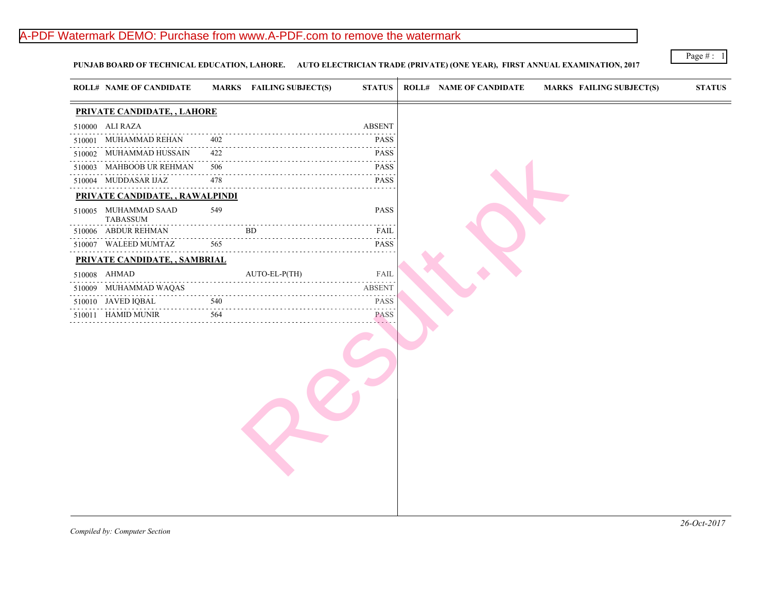# A-PDF Watermark DEMO: Purchase from www.A-PDF.com to remove the watermark

PUNJAB BOARD OF TECHNICAL EDUCATION, LAHORE. AUTO ELECTRICIAN TRADE (PRIVATE) (ONE YEAR), FIRST ANNUAL EXAMIN.

|                             | <b>ROLL# NAME OF CANDIDATE</b>   |                                                  | <b>MARKS</b> FAILING SUBJECT(S) | <b>STATUS</b>    | <b>ROLL# NAME OF CANDIDATE</b> | <b>MARKS FAIL</b> |
|-----------------------------|----------------------------------|--------------------------------------------------|---------------------------------|------------------|--------------------------------|-------------------|
|                             | PRIVATE CANDIDATE, , LAHORE      |                                                  |                                 |                  |                                |                   |
|                             | 510000 ALI RAZA                  |                                                  |                                 | <b>ABSENT</b>    |                                |                   |
|                             | 510001 MUHAMMAD REHAN            | 402                                              |                                 | <b>PASS</b>      |                                |                   |
|                             | 510002 MUHAMMAD HUSSAIN          | 422                                              |                                 | .<br><b>PASS</b> |                                |                   |
|                             | 510003 MAHBOOB UR REHMAN         | $\alpha$ , $\alpha$ , $\alpha$ , $\alpha$<br>506 |                                 | <b>PASS</b>      |                                |                   |
|                             | 510004 MUDDASAR IJAZ             | 478                                              |                                 | <b>PASS</b>      |                                |                   |
|                             | PRIVATE CANDIDATE, , RAWALPINDI  |                                                  |                                 |                  |                                |                   |
|                             | 510005 MUHAMMAD SAAD<br>TABASSUM | 549                                              |                                 | PASS             |                                |                   |
|                             | 510006 ABDUR REHMAN              |                                                  | BD.                             | FAIL             |                                |                   |
|                             | 510007 WALEED MUMTAZ             | 565                                              |                                 | <b>PASS</b>      |                                |                   |
|                             | PRIVATE CANDIDATE, , SAMBRIAL    |                                                  |                                 |                  |                                |                   |
| 510008 AHMAD                |                                  |                                                  | AUTO-EL-P(TH)                   | FAIL             |                                |                   |
| دعاعا عاماته والمنافرة<br>. | 510009 MUHAMMAD WAQAS            |                                                  |                                 | <b>ABSENT</b>    |                                |                   |
|                             | 510010 JAVED IQBAL<br>.          | 540                                              |                                 | <b>PASS</b>      |                                |                   |
|                             | 510011 HAMID MUNIR               | 564                                              |                                 | <b>PASS</b>      |                                |                   |
|                             |                                  |                                                  |                                 |                  |                                |                   |
|                             |                                  |                                                  |                                 |                  |                                |                   |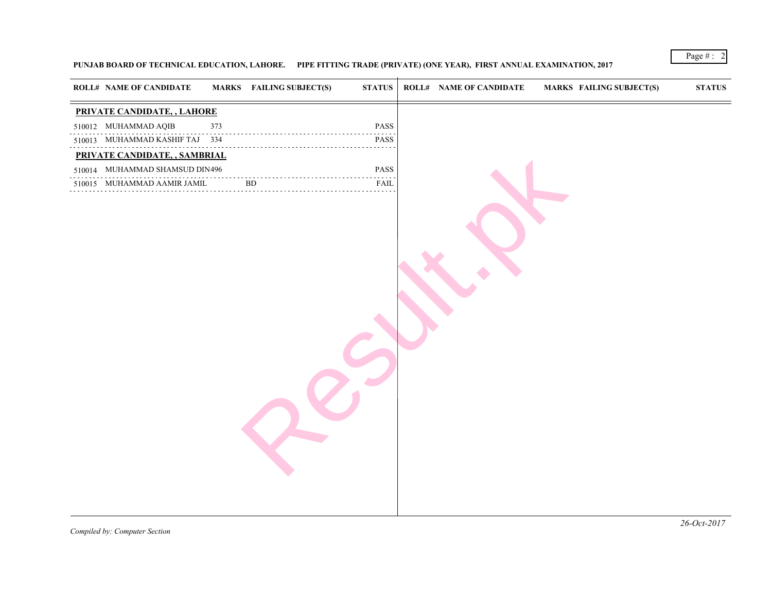## PUNJAB BOARD OF TECHNICAL EDUCATION, LAHORE. PIPE FITTING TRADE (PRIVATE) (ONE YEAR), FIRST ANNUAL EXAMINATION,

| <b>ROLL# NAME OF CANDIDATE</b> |     | <b>MARKS</b> FAILING SUBJECT(S) | <b>STATUS</b>               | <b>ROLL# NAME OF CANDIDATE</b> | <b>MARKS FAIL</b> |  |
|--------------------------------|-----|---------------------------------|-----------------------------|--------------------------------|-------------------|--|
| PRIVATE CANDIDATE, , LAHORE    |     |                                 |                             |                                |                   |  |
| 510012 MUHAMMAD AQIB           | 373 |                                 | PASS                        |                                |                   |  |
| 510013 MUHAMMAD KASHIF TAJ 334 |     |                                 | PASS                        |                                |                   |  |
| PRIVATE CANDIDATE, , SAMBRIAL  |     |                                 |                             |                                |                   |  |
| 510014 MUHAMMAD SHAMSUD DIN496 |     |                                 | PASS                        |                                |                   |  |
| 510015 MUHAMMAD AAMIR JAMIL    |     | ${\rm BD}$                      | .<br>FAIL<br><b>Service</b> |                                |                   |  |
|                                |     |                                 |                             |                                |                   |  |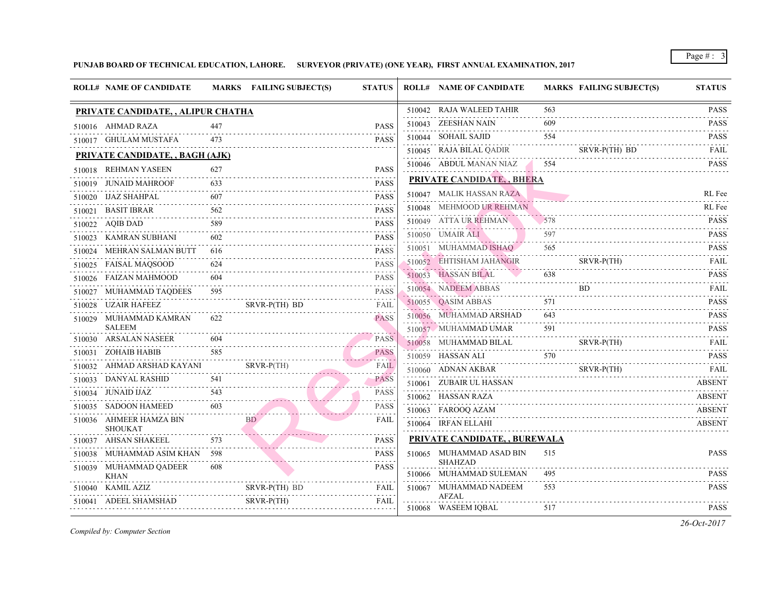|        | <b>ROLL# NAME OF CANDIDATE</b>            |          | MARKS FAILING SUBJECT(S) | <b>STATUS</b>                  | <b>ROLL# NAME OF CANDIDATE</b>                | <b>MARKS FAIL</b> |             |
|--------|-------------------------------------------|----------|--------------------------|--------------------------------|-----------------------------------------------|-------------------|-------------|
|        | PRIVATE CANDIDATE, , ALIPUR CHATHA        |          |                          |                                | 510042 RAJA WALEED TAHIR                      | 563               |             |
|        | 510016 AHMAD RAZA                         | 447      |                          | PASS                           | 510043 ZEESHAN NAIN                           | 609               |             |
|        | 510017 GHULAM MUSTAFA                     | 473      |                          | <b>PASS</b>                    | 510044 SOHAIL SAJID                           | 554               |             |
|        | <b>PRIVATE CANDIDATE, , BAGH (AJK)</b>    |          |                          |                                | 510045 RAJA BILAL QADIR                       |                   | <b>SRVF</b> |
|        | 510018 REHMAN YASEEN                      | 627      |                          | <b>PASS</b>                    | 510046 ABDUL MANAN NIAZ                       | 554               |             |
|        | 510019 JUNAID MAHROOF                     | 633      |                          | <b>PASS</b>                    | PRIVATE CANDIDATE, BHERA                      |                   |             |
|        | 510020 IJAZ SHAHPAL                       | 607      |                          | <b>PASS</b>                    | 510047 MALIK HASSAN RAZA                      |                   |             |
| 510021 | BASIT IBRAR                               | 562      |                          | <b>PASS</b>                    | 510048 MEHMOOD UR REHMAN                      |                   |             |
|        | 510022 AQIB DAD                           | 589      |                          | <b>PASS</b>                    | 510049 ATTA UR REHMAN                         | 578               |             |
|        | 510023 KAMRAN SUBHANI                     | 602      |                          | <b>PASS</b>                    | 510050 UMAIR ALI                              | 597               |             |
|        | 510024 MEHRAN SALMAN BUTT                 | 616      |                          | <b>PASS</b>                    | 510051 MUHAMMAD ISHAQ                         | 565               |             |
|        | 510025 FAISAL MAQSOOD                     | 624      |                          | <b>PASS</b>                    | 510052 EHTISHAM JAHANGIR                      |                   | <b>SRVF</b> |
|        | 510026 FAIZAN MAHMOOD                     | .<br>604 |                          | <b>PASS</b>                    | 510053 HASSAN BILAL                           | 638               |             |
|        | 510027 MUHAMMAD TAQDEES                   | 595      |                          | <b>PASS</b>                    | 510054 NADEEM ABBAS                           |                   | BD.         |
|        | 510028 UZAIR HAFEEZ                       |          | SRVR-P(TH) BD            | FAIL                           | 510055 QASIM ABBAS                            | 571               |             |
|        | 510029 MUHAMMAD KAMRAN<br><b>SALEEM</b>   | 622      |                          | <b>PASS</b>                    | 510056 MUHAMMAD ARSHAD                        | 643               |             |
|        | 510030 ARSALAN NASEER                     | 604      |                          | PASS                           | 510057 MUHAMMAD UMAR                          | 591               |             |
|        | 510031 ZOHAIB HABIB                       |          |                          | <b>PASS</b>                    | 510058 MUHAMMAD BILAL                         |                   | <b>SRVF</b> |
|        | 510032 AHMAD ARSHAD KAYANI                |          | $SRVR-P(TH)$             | and a state of the co-<br>FAIL | 510059 HASSAN ALI                             | 570               |             |
|        | 510033 DANYAL RASHID                      | 541      |                          | <b>PASS</b>                    | 510060 ADNAN AKBAR<br>510061 ZUBAIR UL HASSAN |                   | SRVF        |
|        | .<br>510034 JUNAID IJAZ                   | 543      |                          | <b>PASS</b>                    | 510062 HASSAN RAZA                            |                   |             |
|        | 510035 SADOON HAMEED                      | 603      |                          | <b>PASS</b>                    | 510063 FAROOQ AZAM                            |                   |             |
|        | 510036 AHMEER HAMZA BIN<br><b>SHOUKAT</b> |          | <b>BD</b>                | FAIL                           | 510064 IRFAN ELLAHI                           |                   |             |
|        | 510037 AHSAN SHAKEEL                      | 573      |                          | <b>PASS</b>                    | <b>PRIVATE CANDIDATE, , BUREWALA</b>          |                   |             |
|        | 510038 MUHAMMAD ASIM KHAN 598             |          |                          | <b>PASS</b>                    | 510065 MUHAMMAD ASAD BIN                      | 515               |             |
|        | 510039 MUHAMMAD QADEER<br><b>KHAN</b>     | 608      |                          | <b>PASS</b>                    | SHAHZAD<br>510066 MUHAMMAD SULEMAN            | 495               |             |
|        | 510040 KAMIL AZIZ                         |          | SRVR-P(TH) BD            | FAIL                           | 510067 MUHAMMAD NADEEM                        | 553               |             |
|        | 510041 ADEEL SHAMSHAD                     |          | SRVR-P(TH)               | FAIL                           | <b>AFZAL</b>                                  | 517               |             |
|        |                                           |          |                          |                                | 510068 WASEEM IQBAL                           |                   |             |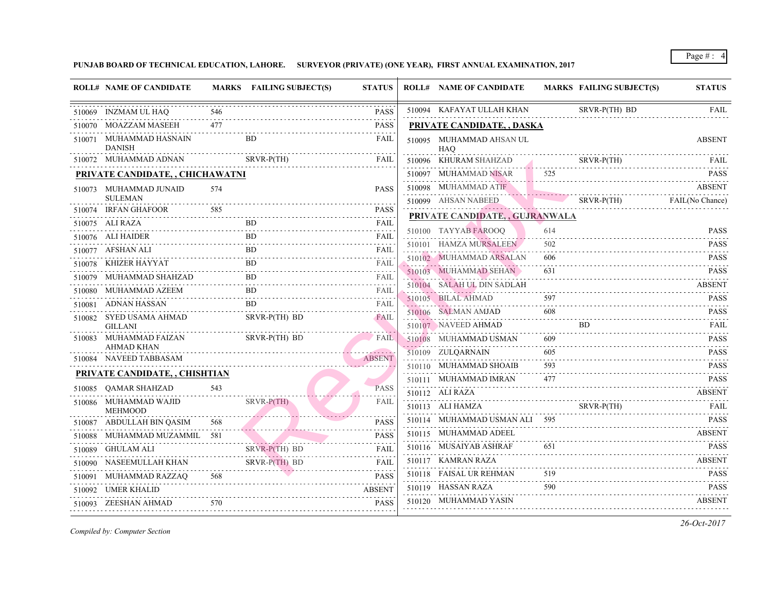| <b>ROLL# NAME OF CANDIDATE</b>            |     | MARKS FAILING SUBJECT(S) | <b>STATUS</b>                                                                                                                                                                        | <b>ROLL# NAME OF CANDIDATE</b>               | <b>MARKS FAIL</b> |             |
|-------------------------------------------|-----|--------------------------|--------------------------------------------------------------------------------------------------------------------------------------------------------------------------------------|----------------------------------------------|-------------------|-------------|
| 510069 INZMAM UL HAQ                      | 546 |                          | <b>PASS</b>                                                                                                                                                                          | 510094 KAFAYAT ULLAH KHAN                    |                   | <b>SRVF</b> |
| 510070 MOAZZAM MASEEH                     | 477 |                          | <b>PASS</b>                                                                                                                                                                          | <u>PRIVATE CANDIDATE, , DASKA</u>            |                   |             |
| 510071 MUHAMMAD HASNAIN<br><b>DANISH</b>  |     | BD.                      | FAIL                                                                                                                                                                                 | 510095 MUHAMMAD AHSAN UL<br>HAO              |                   |             |
| 510072 MUHAMMAD ADNAN                     |     | SRVR-P(TH)               | FAIL                                                                                                                                                                                 | 510096 KHURAM SHAHZAD                        |                   | <b>SRVF</b> |
| PRIVATE CANDIDATE, , CHICHAWATNI          |     |                          |                                                                                                                                                                                      | 510097 MUHAMMAD NISAR                        | 525               |             |
| 510073 MUHAMMAD JUNAID<br><b>SULEMAN</b>  | 574 |                          | <b>PASS</b>                                                                                                                                                                          | 510098 MUHAMMAD ATIF<br>510099 AHSAN NABEED  |                   | SRVF        |
| 510074 IRFAN GHAFOOR                      | 585 |                          | <b>PASS</b><br>2 2 2 2 2                                                                                                                                                             | PRIVATE CANDIDATE, , GUJRANWALA              |                   |             |
| 510075 ALI RAZA                           |     | BD.                      | FAIL<br>.                                                                                                                                                                            |                                              |                   |             |
| 510076 ALI HAIDER                         |     | BD.                      | FAIL<br>د د د د د                                                                                                                                                                    | 510100 TAYYAB FAROOQ                         | 614               |             |
| 510077 AFSHAN ALI                         |     | <b>BD</b>                | FAIL<br>$\mathcal{L}^{\mathcal{A}}\left( \mathcal{L}^{\mathcal{A}}\left( \mathcal{L}^{\mathcal{A}}\right) \right) =\mathcal{L}^{\mathcal{A}}\left( \mathcal{L}^{\mathcal{A}}\right)$ | 510101 HAMZA MURSALEEN                       | 502               |             |
| 510078 KHIZER HAYYAT                      |     | BD.                      | FAIL<br>.                                                                                                                                                                            | 510102 MUHAMMAD ARSALAN                      | 606               |             |
| 510079 MUHAMMAD SHAHZAD                   |     | <b>BD</b>                | FAIL<br>2.2.2.2.2                                                                                                                                                                    | 510103 MUHAMMAD SEHAN                        | 631               |             |
| 510080 MUHAMMAD AZEEM                     |     | <b>BD</b>                | FAIL                                                                                                                                                                                 | 510104 SALAH UL DIN SADLAH<br>. <i>. .</i> . |                   |             |
| 510081 ADNAN HASSAN                       |     | <b>BD</b>                | <b>FAIL</b>                                                                                                                                                                          | 510105 BILAL AHMAD                           | 597               |             |
| 510082 SYED USAMA AHMAD<br><b>GILLANI</b> |     | SRVR-P(TH) BD            | <b>FAIL</b>                                                                                                                                                                          | 510106 SALMAN AMJAD<br>510107 NAVEED AHMAD   | 608               | <b>BD</b>   |
| 510083 MUHAMMAD FAIZAN<br>AHMAD KHAN      |     | SRVR-P(TH) BD            | FAIL                                                                                                                                                                                 | 510108 MUHAMMAD USMAN                        | 609               |             |
| 510084 NAVEED TABBASAM                    |     |                          | <b>ABSENT</b>                                                                                                                                                                        | 510109 ZULQARNAIN                            | 605               |             |
| PRIVATE CANDIDATE, , CHISHTIAN            |     |                          |                                                                                                                                                                                      | 510110 MUHAMMAD SHOAIB                       | 593               |             |
| 510085 QAMAR SHAHZAD                      | 543 |                          | <b>PASS</b>                                                                                                                                                                          | 510111 MUHAMMAD IMRAN                        | 477               |             |
| 510086 MUHAMMAD WAJID<br><b>MEHMOOD</b>   |     | $SRVR-P(TH)$             | <b>FAIL</b>                                                                                                                                                                          | 510112 ALI RAZA<br>510113 ALI HAMZA          |                   | <b>SRVF</b> |
| 510087 ABDULLAH BIN QASIM                 | 568 |                          | <b>PASS</b>                                                                                                                                                                          | 510114 MUHAMMAD USMAN ALI 595                |                   |             |
| 510088 MUHAMMAD MUZAMMIL 581              |     |                          | <b>PASS</b>                                                                                                                                                                          | 510115 MUHAMMAD ADEEL                        |                   |             |
| 510089 GHULAM ALI                         |     | $SRVR-P(TH)$ BD          | FAIL                                                                                                                                                                                 | 510116 MUSAIYAB ASHRAF                       | 651               |             |
| 510090 NASEEMULLAH KHAN                   |     | SRVR-P(TH) BD            | <b>FAIL</b>                                                                                                                                                                          | 510117 KAMRAN RAZA                           |                   |             |
| 510091 MUHAMMAD RAZZAQ                    | 568 |                          | <b>PASS</b>                                                                                                                                                                          | 510118 FAISAL UR REHMAN                      | 519               |             |
| 510092 UMER KHALID                        |     |                          | <b>ABSENT</b>                                                                                                                                                                        | 510119 HASSAN RAZA                           | 590               |             |
| 510093 ZEESHAN AHMAD                      | 570 |                          | <b>PASS</b>                                                                                                                                                                          | 510120 MUHAMMAD YASIN                        |                   |             |
|                                           |     |                          |                                                                                                                                                                                      |                                              |                   |             |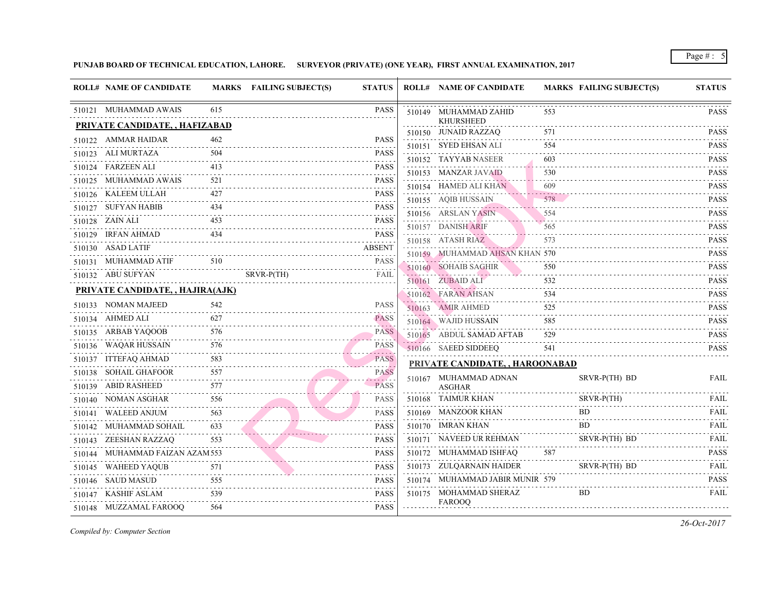| <b>ROLL# NAME OF CANDIDATE</b>   |      | MARKS FAILING SUBJECT(S) | <b>STATUS</b>                   | <b>ROLL# NAME OF CANDIDATE</b>           | <b>MARKS FAIL</b> |             |
|----------------------------------|------|--------------------------|---------------------------------|------------------------------------------|-------------------|-------------|
| 510121 MUHAMMAD AWAIS            | 615  |                          | <b>PASS</b>                     | 510149 MUHAMMAD ZAHID                    | 553               |             |
| PRIVATE CANDIDATE, , HAFIZABAD   |      |                          |                                 | <b>KHURSHEED</b><br>510150 JUNAID RAZZAQ | 571               |             |
| 510122 AMMAR HAIDAR              | 462  |                          | <b>PASS</b>                     | 510151 SYED EHSAN ALI                    | 554               |             |
| 510123 ALI MURTAZA               | 504  |                          | <b>PASS</b>                     | 510152 TAYYAB NASEER                     | 603               |             |
| 510124 FARZEEN ALI               | 413  |                          | <b>PASS</b>                     | 510153 MANZAR JAVAID                     | 530               |             |
| 510125 MUHAMMAD AWAIS            | 521  |                          | <b>PASS</b>                     | 510154 HAMED ALI KHAN                    | 609               |             |
| 510126 KALEEM ULLAH              | 42.7 |                          | <b>PASS</b>                     | 510155 AQIB HUSSAIN                      | 578               |             |
| 510127 SUFYAN HABIB              | 434  |                          | <b>PASS</b><br>.                | 510156 ARSLAN YASIN                      | 554               |             |
| 510128 ZAIN ALI                  | 453  |                          | <b>PASS</b>                     | 510157 DANISH ARIF                       | 565               |             |
| 510129 IRFAN AHMAD               | 434  |                          | <b>PASS</b><br>.                | 510158 ATASH RIAZ                        | 573               |             |
| 510130 ASAD LATIF                |      |                          | <b>ABSENT</b>                   | 510159 MUHAMMAD AHSAN KHAN 570           |                   |             |
| 510131 MUHAMMAD ATIF             | 510  |                          | <b>PASS</b>                     | 510160 SOHAIB SAGHIR                     | 550               |             |
| 510132 ABU SUFYAN                |      | SRVR-P(TH)               | FAIL                            | 510161 ZUBAID ALI                        | 532               |             |
| PRIVATE CANDIDATE, , HAJIRA(AJK) |      |                          |                                 | 510162 FARAN AHSAN                       | 534               |             |
| 510133 NOMAN MAJEED              | 542  |                          | <b>PASS</b>                     | 510163 AMIR AHMED                        | 525               |             |
| 510134 AHMED ALI                 | 627  |                          | <b>PASS</b>                     | 510164 WAJID HUSSAIN                     | 585               |             |
| 510135 ARBAB YAQOOB              | 576  |                          | PASS                            | 510165 ABDUL SAMAD AFTAB                 | 529               |             |
| 510136 WAQAR HUSSAIN             | 576  |                          | . <i>.</i><br><b>PASS</b>       | 510166 SAEED SIDDEEQ                     | 541               |             |
| 510137 ITTEFAQ AHMAD             | 583  |                          | .<br><b>PASS</b>                | PRIVATE CANDIDATE, , HAROONABAD          |                   |             |
| 510138 SOHAIL GHAFOOR            | 557  |                          | .<br><b>PASS</b>                | 510167 MUHAMMAD ADNAN                    |                   | <b>SRVF</b> |
| 510139 ABID RASHEED              | 577  |                          | $-1 - 1 - 1 = 0$<br><b>PASS</b> | ASGHAR                                   |                   |             |
| 510140 NOMAN ASGHAR              | 556  |                          | <b>PASS</b>                     | 510168 TAIMUR KHAN                       |                   | <b>SRVF</b> |
| 510141 WALEED ANJUM              | 563  |                          | <b>PASS</b>                     | 510169 MANZOOR KHAN                      |                   | <b>BD</b>   |
| 510142 MUHAMMAD SOHAIL           | 633  |                          | <b>PASS</b>                     | 510170 IMRAN KHAN                        |                   | BD.         |
| 510143 ZEESHAN RAZZAQ            | 553  |                          | <b>PASS</b>                     | 510171 NAVEED UR REHMAN                  |                   | <b>SRVF</b> |
| 510144 MUHAMMAD FAIZAN AZAM 553  |      |                          | <b>PASS</b>                     | 510172 MUHAMMAD ISHFAQ                   | 587               |             |
| 510145 WAHEED YAQUB              | 571  |                          | <b>PASS</b>                     | 510173 ZULQARNAIN HAIDER                 |                   | <b>SRVF</b> |
| 510146 SAUD MASUD                | 555  |                          | <b>PASS</b>                     | 510174 MUHAMMAD JABIR MUNIR 579          |                   |             |
| 510147 KASHIF ASLAM              | 539  |                          | <b>PASS</b>                     | 510175 MOHAMMAD SHERAZ                   |                   | <b>BD</b>   |
| 510148 MUZZAMAL FAROOQ           | 564  |                          | <b>PASS</b>                     | <b>FAROOQ</b>                            |                   |             |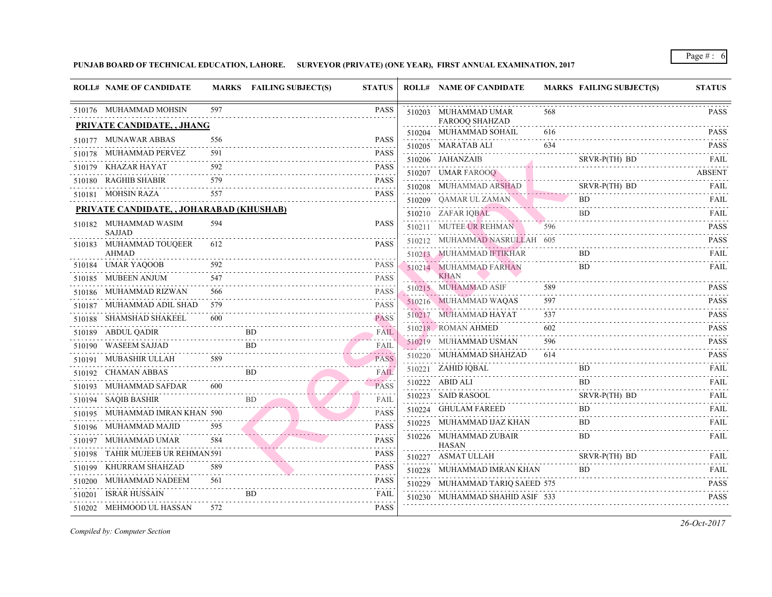|        | <b>ROLL# NAME OF CANDIDATE</b>           |     | MARKS FAILING SUBJECT(S) | <b>STATUS</b>    |   | <b>ROLL# NAME OF CANDIDATE</b>                  | <b>MARKS FAIL</b> |             |
|--------|------------------------------------------|-----|--------------------------|------------------|---|-------------------------------------------------|-------------------|-------------|
|        | 510176 MUHAMMAD MOHSIN                   | 597 |                          | <b>PASS</b>      |   | 510203 MUHAMMAD UMAR                            | 568               |             |
|        | <b>PRIVATE CANDIDATE, , JHANG</b>        |     |                          |                  |   | <b>FAROOQ SHAHZAD</b><br>510204 MUHAMMAD SOHAIL | 616               |             |
|        | 510177 MUNAWAR ABBAS                     | 556 |                          | <b>PASS</b>      |   | 510205 MARATAB ALI                              | 634               |             |
| 510178 | MUHAMMAD PERVEZ                          | 591 |                          | <b>PASS</b>      | . | 510206 JAHANZAIB                                |                   | <b>SRVF</b> |
|        | 510179 KHAZAR HAYAT                      | 592 |                          | <b>PASS</b>      |   | 510207 UMAR FAROOQ                              |                   |             |
|        | 510180 RAGHIB SHABIR                     | 579 |                          | <b>PASS</b><br>. |   | 510208 MUHAMMAD ARSHAD                          |                   | <b>SRVF</b> |
|        | 510181 MOHSIN RAZA                       | 557 |                          | <b>PASS</b>      |   | 510209 QAMAR UL ZAMAN                           |                   | BD.         |
|        | PRIVATE CANDIDATE, , JOHARABAD (KHUSHAB) |     |                          |                  |   | 510210 ZAFAR IQBAL                              |                   | BD.         |
|        | 510182 MUHAMMAD WASIM                    | 594 |                          | <b>PASS</b>      |   | 510211 MUTEE UR REHMAN                          |                   |             |
|        | <b>SAJJAD</b>                            |     |                          |                  |   | 510212 MUHAMMAD NASRULLAH 605                   |                   |             |
| 510183 | MUHAMMAD TOUQEER<br><b>AHMAD</b>         | 612 |                          | <b>PASS</b>      |   | 510213 MUHAMMAD IFTIKHAR                        |                   | BD.         |
| 510184 | UMAR YAQOOB                              | 592 |                          | <b>PASS</b>      |   | 510214 MUHAMMAD FARHAN                          |                   | BD.         |
|        | 510185 MUBEEN ANJUM                      | 547 |                          | <b>PASS</b>      |   | <b>KHAN</b>                                     |                   |             |
| 510186 | MUHAMMAD RIZWAN                          | 566 |                          | <b>PASS</b>      |   | 510215 MUHAMMAD ASIF                            | 589               |             |
| 510187 | MUHAMMAD ADIL SHAD                       | 579 |                          | <b>PASS</b>      |   | 510216 MUHAMMAD WAQAS                           | 597               |             |
|        | 510188 SHAMSHAD SHAKEEL                  | 600 |                          | <b>PASS</b>      |   | 510217 MUHAMMAD HAYAT                           | 537               |             |
|        | 510189 ABDUL QADIR                       |     | <b>BD</b>                | FAIL             |   | 510218 ROMAN AHMED                              | 602               |             |
| 510190 | WASEEM SAJJAD                            |     | BD.                      | FAIL             |   | 510219 MUHAMMAD USMAN                           | 596               |             |
| 510191 | MUBASHIR ULLAH                           | 589 |                          | .<br><b>PASS</b> |   | 510220 MUHAMMAD SHAHZAD                         | 614               |             |
| 510192 | <b>CHAMAN ABBAS</b>                      |     | <b>BD</b>                | FAIL             |   | 510221 ZAHID IQBAL                              |                   | BD.         |
| 510193 | MUHAMMAD SAFDAR                          | 600 |                          | PASS             |   | 510222 ABID ALI                                 |                   | BD.         |
|        | 510194 SAQIB BASHIR                      |     | <b>BD</b>                | FAIL             |   | 510223 SAID RASOOL                              |                   | <b>SRVF</b> |
| 510195 | MUHAMMAD IMRAN KHAN 590                  |     |                          | <b>PASS</b>      |   | 510224 GHULAM FAREED                            |                   | <b>BD</b>   |
|        | 510196 MUHAMMAD MAJID                    | 595 |                          | <b>PASS</b>      |   | 510225 MUHAMMAD IJAZ KHAN                       |                   | <b>BD</b>   |
|        | 510197 MUHAMMAD UMAR                     | 584 |                          | <b>PASS</b>      |   | 510226 MUHAMMAD ZUBAIR<br>HASAN                 |                   | BD.         |
| 510198 | TAHIR MUJEEB UR REHMAN591                |     |                          | <b>PASS</b>      |   | 510227 ASMAT ULLAH                              |                   | <b>SRVF</b> |
| 510199 | KHURRAM SHAHZAD                          |     |                          | <b>PASS</b>      |   | 510228 MUHAMMAD IMRAN KHAN                      |                   | BD.         |
|        | 510200 MUHAMMAD NADEEM                   | 561 |                          | <b>PASS</b>      |   | 510229 MUHAMMAD TARIQ SAEED 575                 |                   |             |
| 510201 | ISRAR HUSSAIN                            |     | <b>BD</b>                | FAIL             |   | 510230 MUHAMMAD SHAHID ASIF 533                 |                   |             |
|        | 510202 MEHMOOD UL HASSAN                 | 572 |                          | <b>PASS</b>      |   |                                                 |                   |             |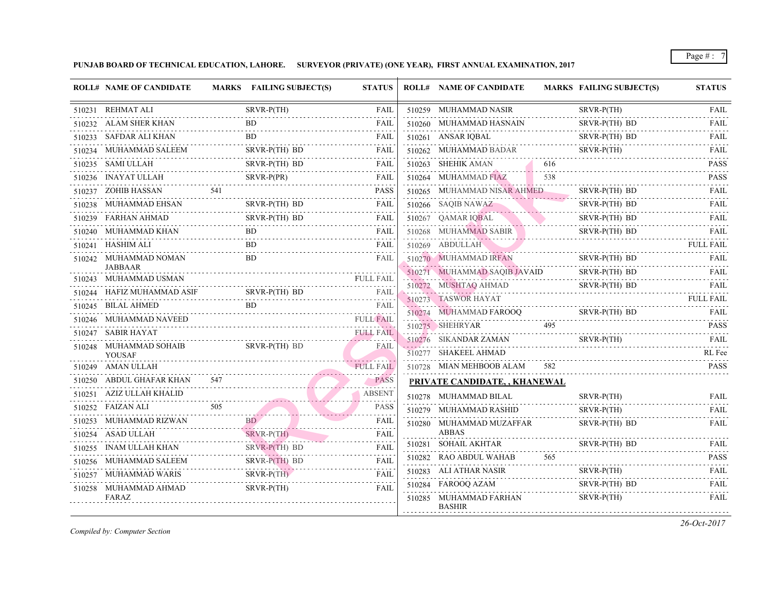| <b>ROLL# NAME OF CANDIDATE</b>   |     | MARKS FAILING SUBJECT(S) | <b>STATUS</b>    | <b>ROLL# NAME OF CANDIDATE</b>          | <b>MARKS FAIL</b> |             |
|----------------------------------|-----|--------------------------|------------------|-----------------------------------------|-------------------|-------------|
| 510231 REHMAT ALI                |     | $SRVR-P(TH)$             | <b>FAIL</b>      | 510259 MUHAMMAD NASIR                   |                   | <b>SRVF</b> |
| 510232 ALAM SHER KHAN            |     | BD.                      | FAIL             | 510260 MUHAMMAD HASNAIN                 |                   | <b>SRVF</b> |
| 510233 SAFDAR ALI KHAN           |     | BD.                      | FAIL             | 510261 ANSAR IQBAL                      |                   | <b>SRVF</b> |
| 510234 MUHAMMAD SALEEM<br>.      |     | SRVR-P(TH) BD            | FAIL             | 510262 MUHAMMAD BADAR                   |                   | <b>SRVF</b> |
| 510235 SAMI ULLAH                |     | SRVR-P(TH) BD            | FAIL             | 510263 SHEHIK AMAN                      | 616               |             |
| 510236 INAYAT ULLAH              |     |                          | FAIL             | 510264 MUHAMMAD FIAZ                    | 538               |             |
| 510237 ZOHIB HASSAN              | 541 |                          | <b>PASS</b>      | 510265 MUHAMMAD NISAR AHMED             |                   | <b>SRVF</b> |
| 510238 MUHAMMAD EHSAN            |     | SRVR-P(TH) BD            | FAIL             | 510266 SAQIB NAWAZ                      |                   | <b>SRVF</b> |
| 510239 FARHAN AHMAD              |     | SRVR-P(TH) BD            | FAIL             | 510267 QAMAR IQBAL                      |                   | <b>SRVF</b> |
| 510240 MUHAMMAD KHAN             |     |                          | FAIL             | 510268 MUHAMMAD SABIR                   |                   | <b>SRVF</b> |
| 510241 HASHIM ALI                |     | BD.                      | FAIL             | 510269 ABDULLAH                         |                   |             |
| 510242 MUHAMMAD NOMAN            |     | <b>BD</b>                | FAIL             | 510270 MUHAMMAD IRFAN                   |                   | <b>SRVF</b> |
| JABBAAR<br>510243 MUHAMMAD USMAN |     |                          | <b>FULL FAIL</b> | 510271 MUHAMMAD SAQIB JAVAID            |                   | <b>SRVF</b> |
| 510244 HAFIZ MUHAMMAD ASIF       |     | SRVR-P(TH) BD            | .                | 510272 MUSHTAQ AHMAD                    |                   | <b>SRVF</b> |
| 510245 BILAL AHMED               |     |                          | FAIL             | 510273 TASWOR HAYAT                     |                   |             |
| 510246 MUHAMMAD NAVEED           |     |                          |                  | 510274 MUHAMMAD FAROOQ<br>.             |                   | <b>SRVF</b> |
| 510247 SABIR HAYAT               |     |                          | <b>FULL FAIL</b> | 510275 SHEHRYAR                         | 495               |             |
| 510248 MUHAMMAD SOHAIB           |     | SRVR-P(TH) BD            | FAIL             | 510276 SIKANDAR ZAMAN                   |                   | <b>SRVF</b> |
| <b>YOUSAF</b>                    |     |                          |                  | 510277 SHAKEEL AHMAD                    |                   |             |
| 510249 AMAN ULLAH                |     |                          | <b>FULL FAIL</b> | 510728 MIAN MEHBOOB ALAM                | 582               |             |
| 510250 ABDUL GHAFAR KHAN         | 547 | $N = 547$                | <b>PASS</b>      | PRIVATE CANDIDATE,, KHANEWAL            |                   |             |
| 510251 AZIZ ULLAH KHALID         |     | . <del>.</del>           | <b>ABSENT</b>    | 510278 MUHAMMAD BILAL                   |                   | <b>SRVF</b> |
| 510252 FAIZAN ALI                | 505 | $\frac{505}{200}$        | <b>PASS</b>      | 510279 MUHAMMAD RASHID                  |                   | <b>SRVF</b> |
| 510253 MUHAMMAD RIZWAN           |     |                          | FAIL             | 510280 MUHAMMAD MUZAFFAR                |                   | <b>SRVF</b> |
| 510254 ASAD ULLAH                |     | $SRVR-P(TH)$             | FAIL             | ABBAS                                   |                   |             |
| 510255 INAM ULLAH KHAN           |     | SRVR-P(TH) BD            | FAIL             | 510281 SOHAIL AKHTAR                    |                   | <b>SRVF</b> |
| 510256 MUHAMMAD SALEEM           |     | SRVR-P(TH) BD            | FAIL             | 510282 RAO ABDUL WAHAB                  | 565               |             |
| 510257 MUHAMMAD WARIS            |     | $SRVR-P(TH)$             | FAIL             | 510283 ALI ATHAR NASIR                  |                   | <b>SRVF</b> |
| 510258 MUHAMMAD AHMAD            |     | $SRVR-P(TH)$             | <b>FAIL</b>      | 510284 FAROOQ AZAM                      |                   | <b>SRVF</b> |
| FARAZ                            |     |                          |                  | 510285 MUHAMMAD FARHAN<br><b>BASHIR</b> |                   | <b>SRVF</b> |
|                                  |     |                          |                  |                                         |                   |             |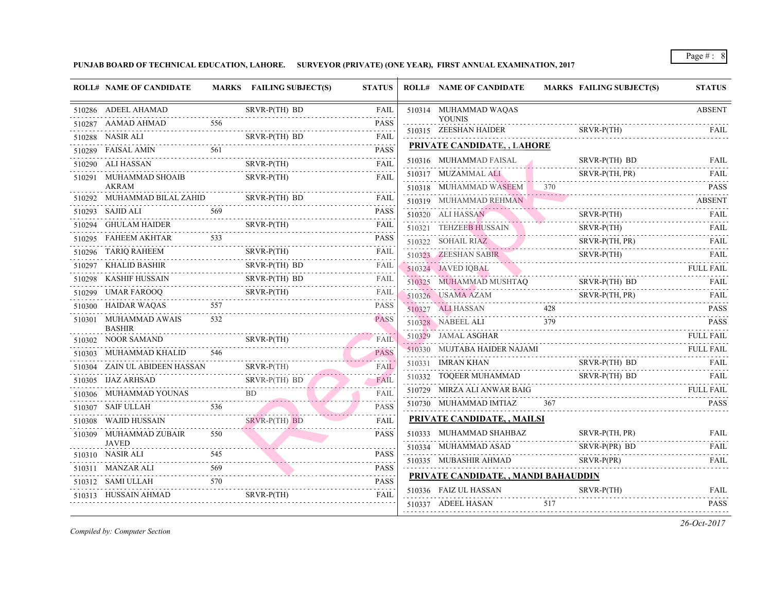| <b>ROLL# NAME OF CANDIDATE</b>                |     | MARKS FAILING SUBJECT(S)                              | <b>STATUS</b>                                                | <b>ROLL# NAME OF CANDIDATE</b>                | <b>MARKS FAIL</b> |             |
|-----------------------------------------------|-----|-------------------------------------------------------|--------------------------------------------------------------|-----------------------------------------------|-------------------|-------------|
| 510286 ADEEL AHAMAD                           |     | SRVR-P(TH) BD                                         | FAIL                                                         | 510314 MUHAMMAD WAQAS                         |                   |             |
| 510287 AAMAD AHMAD                            | 556 |                                                       | <b>PASS</b>                                                  | <b>YOUNIS</b><br>510315 ZEESHAN HAIDER        |                   | <b>SRVF</b> |
| 510288 NASIR ALI                              |     | LI SRVR-P(TH) BD                                      | <b>FAIL</b><br>.                                             |                                               |                   |             |
| 510289 FAISAL AMIN                            | 561 |                                                       | <b>PASS</b>                                                  | <b>PRIVATE CANDIDATE, , LAHORE</b>            |                   |             |
| 510290 ALI HASSAN                             |     | $SRVR-P(TH)$                                          | $\omega$ , $\omega$ , $\omega$ , $\omega$ , $\omega$<br>FAIL | 510316 MUHAMMAD FAISAL                        |                   | <b>SRVF</b> |
| 510291 MUHAMMAD SHOAIB<br>AKRAM               |     | $SRVR-P(TH)$                                          | .<br><b>FAIL</b>                                             | 510317 MUZAMMAL ALI<br>510318 MUHAMMAD WASEEM | $\frac{370}{ }$   | <b>SRVF</b> |
| 510292 MUHAMMAD BILAL ZAHID                   |     | SRVR-P(TH) BD                                         | FAIL                                                         | 510319 MUHAMMAD REHMAN                        |                   |             |
| 510293 SAJID ALI                              | 569 |                                                       | <b>PASS</b>                                                  | 510320 ALI HASSAN                             |                   | <b>SRVF</b> |
| 510294 GHULAM HAIDER                          |     | SRVR-P(TH)                                            | FAIL                                                         | 510321 TEHZEEB HUSSAIN                        |                   | <b>SRVF</b> |
|                                               |     |                                                       | <b>PASS</b>                                                  | 510322 SOHAIL RIAZ                            |                   | <b>SRVF</b> |
| 510296 TARIQ RAHEEM                           |     | $SRVR-P(TH)$                                          | FAIL                                                         | 510323 ZEESHAN SABIR                          |                   | <b>SRVF</b> |
| 510297 KHALID BASHIR                          |     | SRVR-P(TH) BD                                         | FAIL                                                         | 510324 JAVED IQBAL                            |                   |             |
| 510298 KASHIF HUSSAIN                         |     | SRVR-P(TH) BD                                         | FAIL                                                         | 510325 MUHAMMAD MUSHTAQ                       |                   | <b>SRVF</b> |
| 510299 UMAR FAROOQ                            |     | $SRVR-P(TH)$                                          | .<br>FAIL                                                    | 510326 USAMA AZAM                             | . <del>.</del>    | <b>SRVF</b> |
| 557<br>510300 HAIDAR WAQAS                    |     |                                                       | <b>PASS</b>                                                  | 510327 ALI HASSAN                             | 428               |             |
| 510301 MUHAMMAD AWAIS<br><b>BASHIR</b>        | 532 |                                                       | <b>PASS</b>                                                  | 510328 NABEEL ALI                             | 379               |             |
| 510302 NOOR SAMAND                            |     | SRVR-P(TH)<br>SRVR-P(TH)                              | FAIL                                                         | 510329 JAMAL ASGHAR                           |                   |             |
| 510303 MUHAMMAD KHALID 546                    |     |                                                       | <b>PASS</b>                                                  | 510330 MUJTABA HAIDER NAJAMI                  |                   |             |
| 510304 ZAIN UL ABIDEEN HASSAN SRVR-P(TH)      |     | $SRVR-P(TH)$                                          | .<br>FAIL                                                    | 510331 <b>IMRAN KHAN</b>                      |                   | <b>SRVF</b> |
| 510305 IJAZ ARHSAD                            |     | SRVR-P(TH) BD                                         | $-1 - 1 - 1 = 1$<br>FAIL                                     | 510332 TOQEER MUHAMMAD                        |                   | <b>SRVF</b> |
| 510306 MUHAMMAD YOUNAS BD                     |     |                                                       | .<br><b>FAIL</b>                                             | 510729 MIRZA ALI ANWAR BAIG                   |                   |             |
| 510307 SAIF ULLAH                             | 536 |                                                       | .<br><b>PASS</b>                                             | 510730 MUHAMMAD IMTIAZ                        | 367               |             |
| 510308 WAJID HUSSAIN                          |     | $SRVR-P(TH)$ BD                                       | FAIL                                                         | <b>PRIVATE CANDIDATE, , MAILSI</b>            |                   |             |
| 510309 MUHAMMAD ZUBAIR<br><b>JAVED</b>        | 550 |                                                       | <b>PASS</b>                                                  | 510333 MUHAMMAD SHAHBAZ                       |                   | <b>SRVF</b> |
| 510310 NASIR ALI<br>510310 NASIR ALI 545 PASS |     |                                                       |                                                              | 510334 MUHAMMAD ASAD                          |                   | <b>SRVF</b> |
| 510311 MANZAR ALI                             | 569 | $\frac{1}{2}$ 569                                     | <b>PASS</b>                                                  | 510335 MUBASHIR AHMAD                         |                   | <b>SRVF</b> |
| 510312 SAMI ULLAH                             |     | $\begin{bmatrix} 570 & & & \text{PASS} \end{bmatrix}$ |                                                              | PRIVATE CANDIDATE, , MANDI BAHAUDDIN          |                   |             |
| 510313 HUSSAIN AHMAD                          |     | SRVR-P(TH)                                            | <b>FAIL</b>                                                  | 510336 FAIZ UL HASSAN                         |                   | <b>SRVF</b> |
|                                               |     |                                                       |                                                              | 510337 ADEEL HASAN                            | 517               |             |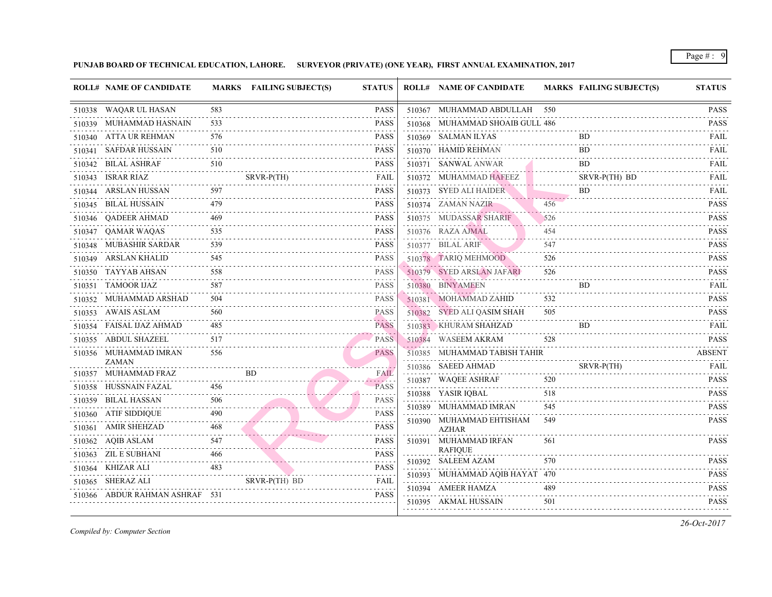| <b>ROLL# NAME OF CANDIDATE</b>       |          | MARKS FAILING SUBJECT(S) | <b>STATUS</b>                              | <b>ROLL# NAME OF CANDIDATE</b>           | <b>MARKS FAIL</b> |             |
|--------------------------------------|----------|--------------------------|--------------------------------------------|------------------------------------------|-------------------|-------------|
| 510338 WAQAR UL HASAN                | 583      |                          | <b>PASS</b>                                | 510367 MUHAMMAD ABDULLAH 550             |                   |             |
| 510339 MUHAMMAD HASNAIN              | 533      |                          | <b>PASS</b>                                | 510368 MUHAMMAD SHOAIB GULL 486          |                   |             |
| 510340 ATTA UR REHMAN                | 576      |                          | <b>PASS</b>                                | 510369 SALMAN ILYAS                      |                   | <b>BD</b>   |
| 510341 SAFDAR HUSSAIN                | 510      |                          | PASS                                       | 510370 HAMID REHMAN                      |                   | BD          |
| 510342 BILAL ASHRAF                  | 510      |                          | PASS                                       | 510371 SANWAL ANWAR                      |                   | BD.         |
| 510343 ISRAR RIAZ                    |          | SRVR-P(TH)               | FAIL                                       | 510372 MUHAMMAD HAFEEZ                   |                   | <b>SRVF</b> |
| 510344 ARSLAN HUSSAN                 | 597      |                          | PASS                                       | 510373 SYED ALI HAIDER                   |                   | BD          |
| 510345 BILAL HUSSAIN                 | 479<br>. |                          | <b>PASS</b>                                | 510374 ZAMAN NAZIR                       | 456               |             |
| 510346 QADEER AHMAD                  | 469      |                          | <b>PASS</b>                                | 510375 MUDASSAR SHARIF                   | 526               |             |
| 510347 QAMAR WAQAS                   | 535      |                          | <b>PASS</b>                                | 510376 RAZA AJMAL                        | 454               |             |
| 510348 MUBASHIR SARDAR               | 539      |                          | <b>PASS</b>                                | 510377 BILAL ARIF                        | 547               |             |
| 510349 ARSLAN KHALID                 | 545      |                          | <b>PASS</b>                                | 510378 TARIQ MEHMOOD                     | 526               |             |
| 510350 TAYYAB AHSAN                  | 558      |                          | <b>PASS</b>                                | 510379 SYED ARSLAN JAFARI                | 526               |             |
| 510351 TAMOOR IJAZ                   | 587      |                          | <b>PASS</b>                                | 510380 BINYAMEEN                         |                   | BD.         |
| 510352 MUHAMMAD ARSHAD               | 504      |                          | <b>PASS</b>                                | 510381 MOHAMMAD ZAHID                    | 532               |             |
| 510353 AWAIS ASLAM                   | 560      |                          | <b>PASS</b><br><b>Contractor</b>           | 510382 SYED ALI QASIM SHAH               | 505               |             |
| 510354 FAISAL IJAZ AHMAD             | 485      |                          | <b>PASS</b>                                | 510383 KHURAM SHAHZAD                    |                   | <b>BD</b>   |
| 510355 ABDUL SHAZEEL                 | 517      |                          | <b>PASS</b>                                | 510384 WASEEM AKRAM                      | 528               |             |
| 510356 MUHAMMAD IMRAN                | 556      |                          | <b>PASS</b>                                | 510385 MUHAMMAD TABISH TAHIR             |                   |             |
| <b>ZAMAN</b><br>510357 MUHAMMAD FRAZ |          | BD.                      | <b>FAIL</b>                                | 510386 SAEED AHMAD                       |                   | <b>SRVF</b> |
| 510358 HUSSNAIN FAZAL                |          |                          | .<br><b>PASS</b>                           | 510387 WAQEE ASHRAF                      | 520               |             |
| 510359 BILAL HASSAN                  | 506      |                          | .<br><b>PASS</b>                           | 510388 YASIR IQBAL                       | 518               |             |
| 510360 ATIF SIDDIQUE                 | 490      |                          | $- - - - - -$<br><b>PASS</b>               | 510389 MUHAMMAD IMRAN                    | 545               |             |
| 510361 AMIR SHEHZAD                  | 468      |                          | .<br>PASS                                  | 510390 MUHAMMAD EHTISHAM<br><b>AZHAR</b> | 549               |             |
| 510362 AQIB ASLAM                    | 547      |                          | <b>PASS</b>                                | 510391 MUHAMMAD IRFAN                    | 561               |             |
| 510363 ZIL E SUBHANI                 | 466      |                          | PASS                                       | <b>RAFIQUE</b>                           |                   |             |
| .<br>510364 KHIZAR ALI               |          |                          | PASS                                       | 510392 SALEEM AZAM                       | 570               |             |
| 510365 SHERAZ ALI                    |          | SRVR-P(TH) BD            | $\sim$ $\sim$ $\sim$ $\sim$ $\sim$<br>FAIL | 510393 MUHAMMAD AQIB HAYAT 470           |                   |             |
| 510366 ABDUR RAHMAN ASHRAF 531       |          |                          | PASS                                       | 510394 AMEER HAMZA                       | 489               |             |
|                                      |          |                          |                                            | 510395 AKMAL HUSSAIN                     | 501               |             |
|                                      |          |                          |                                            |                                          |                   |             |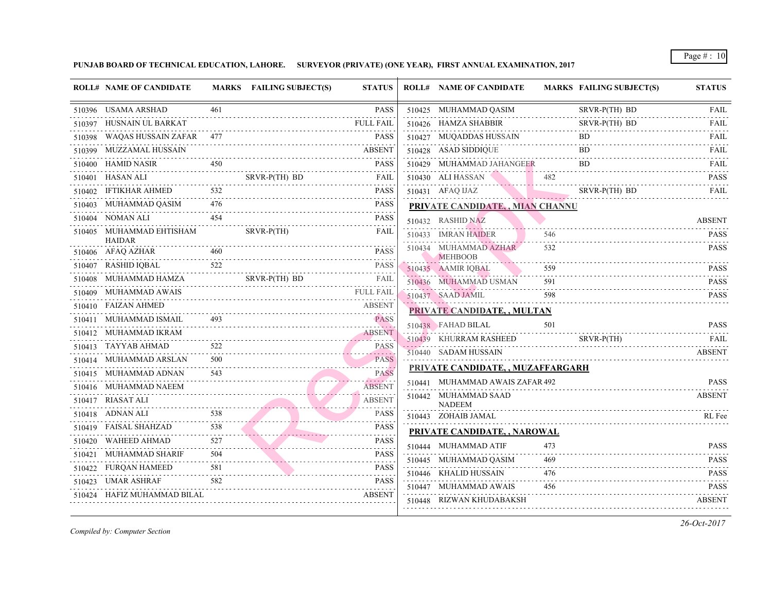|        | <b>ROLL# NAME OF CANDIDATE</b>            |                             | MARKS FAILING SUBJECT(S) | <b>STATUS</b>               | <b>ROLL# NAME OF CANDIDATE</b>          | <b>MARKS FAIL</b> |             |
|--------|-------------------------------------------|-----------------------------|--------------------------|-----------------------------|-----------------------------------------|-------------------|-------------|
|        | 510396 USAMA ARSHAD                       | 461                         |                          | <b>PASS</b>                 | 510425 MUHAMMAD QASIM                   |                   | <b>SRVF</b> |
|        | 510397 HUSNAIN UL BARKAT                  |                             |                          | <b>FULL FAIL</b>            | 510426 HAMZA SHABBIR                    |                   | <b>SRVF</b> |
|        | 510398 WAQAS HUSSAIN ZAFAR 477            |                             |                          | <b>PASS</b>                 | 510427 MUQADDAS HUSSAIN                 |                   | BD.         |
|        | 510399 MUZZAMAL HUSSAIN                   |                             |                          | <b>ABSENT</b>               | 510428 ASAD SIDDIQUE                    |                   | BD.         |
|        | 510400 HAMID NASIR                        | 450                         |                          | <b>PASS</b>                 | 510429 MUHAMMAD JAHANGEER               |                   | <b>BD</b>   |
|        | 510401 HASAN ALI                          |                             | SRVR-P(TH) BD            | FAIL                        | 510430 ALI HASSAN                       | 482               |             |
|        | 510402 IFTIKHAR AHMED 532<br>.            |                             |                          | <b>PASS</b>                 | 510431 AFAQ IJAZ                        |                   | <b>SRVF</b> |
|        | 510403 MUHAMMAD QASIM                     | 476                         |                          | <b>PASS</b>                 | PRIVATE CANDIDATE,, MIAN CHANNU         |                   |             |
|        | 510404 NOMAN ALI                          | 454                         |                          | <b>PASS</b>                 | 510432 RASHID NAZ                       |                   |             |
|        | 510405 MUHAMMAD EHTISHAM<br><b>HAIDAR</b> |                             | $SRVR-P(TH)$             | FAIL                        | 510433 IMRAN HAIDER                     | 546               |             |
|        | 510406 AFAQ AZHAR                         | 460                         |                          | <b>PASS</b>                 | 510434 MUHAMMAD AZHAR<br><b>MEHBOOB</b> | 532               |             |
|        | 510407 RASHID IQBAL                       | 522                         |                          | <b>PASS</b>                 | 510435 AAMIR IQBAL                      | 559               |             |
|        | 510408 MUHAMMAD HAMZA                     |                             | SRVR-P(TH) BD            | FAIL                        | 510436 MUHAMMAD USMAN                   | 591               |             |
|        | 510409 MUHAMMAD AWAIS                     |                             |                          | <b>FULL FAIL</b>            | 510437 SAAD JAMIL                       | 598               |             |
|        | 510410 FAIZAN AHMED                       |                             |                          | <b>ABSENT</b>               | PRIVATE CANDIDATE,, MULTAN              |                   |             |
|        | 510411 MUHAMMAD ISMAIL                    |                             |                          | <b>PASS</b>                 | 510438 FAHAD BILAL                      | 501               |             |
|        | 510412 MUHAMMAD IKRAM                     |                             |                          | ABSENT                      | 510439 KHURRAM RASHEED                  |                   | <b>SRVF</b> |
|        | 510413 TAYYAB AHMAD                       | 522<br>$\omega$ is a set of |                          | <b>PASS</b><br>. <i>.</i> . | 510440 SADAM HUSSAIN                    |                   |             |
|        | 510414 MUHAMMAD ARSLAN                    | 500<br>.                    | PASS                     | <b>PASS</b>                 |                                         |                   |             |
|        | 510415 MUHAMMAD ADNAN                     | 543                         |                          | <b>PASS</b>                 | PRIVATE CANDIDATE, , MUZAFFARGARH       |                   |             |
|        | 510416 MUHAMMAD NAEEM                     |                             |                          | <b>ABSENT</b>               | 510441 MUHAMMAD AWAIS ZAFAR 492         |                   |             |
|        | 510417 RIASAT ALI                         |                             |                          | <b>ABSENT</b>               | 510442 MUHAMMAD SAAD<br><b>NADEEM</b>   |                   |             |
|        | 510418 ADNAN ALI                          | 538                         |                          | <b>PASS</b>                 | 510443 ZOHAIB JAMAL                     |                   |             |
|        | 510419 FAISAL SHAHZAD                     | 538                         |                          | <b>PASS</b>                 | PRIVATE CANDIDATE, , NAROWAL            |                   |             |
|        | 510420 WAHEED AHMAD                       | 527                         |                          | <b>PASS</b>                 | 510444 MUHAMMAD ATIF                    | 473               |             |
|        | 510421 MUHAMMAD SHARIF                    | 504                         |                          | <b>PASS</b>                 | 510445 MUHAMMAD QASIM                   | 469               |             |
|        | 510422 FURQAN HAMEED                      | 581                         |                          | <b>PASS</b>                 | 510446 KHALID HUSSAIN                   | 476               |             |
| 510423 | <b>UMAR ASHRAF</b>                        | 582                         |                          | PASS                        | 510447 MUHAMMAD AWAIS                   | 456               |             |
|        | 510424 HAFIZ MUHAMMAD BILAL               |                             |                          | <b>ABSENT</b>               | 510448 RIZWAN KHUDABAKSH                |                   |             |
|        |                                           |                             |                          |                             |                                         |                   |             |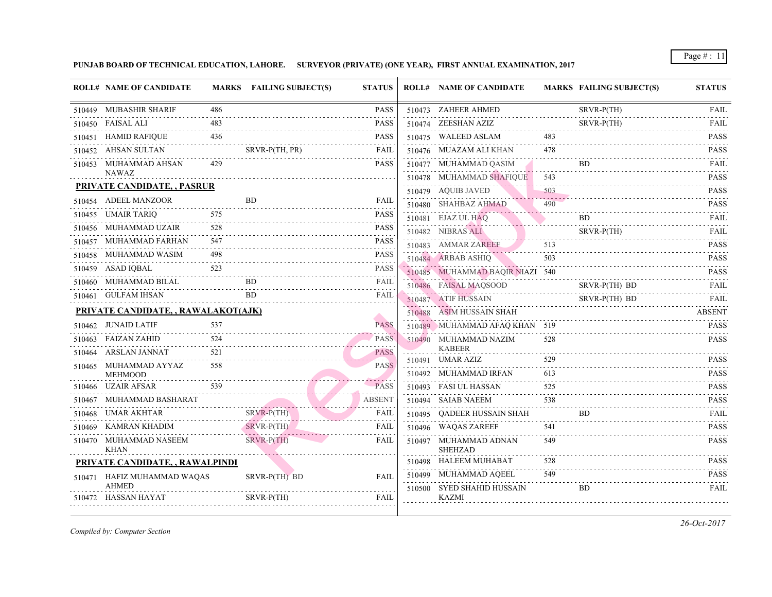| <b>ROLL# NAME OF CANDIDATE</b>       |          | MARKS FAILING SUBJECT(S) | <b>STATUS</b> | <b>ROLL# NAME OF CANDIDATE</b>              | <b>MARKS FAIL</b> |             |
|--------------------------------------|----------|--------------------------|---------------|---------------------------------------------|-------------------|-------------|
| 510449 MUBASHIR SHARIF               | 486      |                          | <b>PASS</b>   | 510473 ZAHEER AHMED                         |                   | <b>SRVF</b> |
| 510450 FAISAL ALI                    | 483      |                          | <b>PASS</b>   | 510474 ZEESHAN AZIZ                         |                   | <b>SRVF</b> |
| 510451 HAMID RAFIQUE                 | 436      |                          | <b>PASS</b>   | 510475 WALEED ASLAM                         | 483               |             |
| 510452 AHSAN SULTAN                  |          | SRVR-P(TH, PR)           | FAIL          | 510476 MUAZAM ALI KHAN                      | 478               |             |
| 510453 MUHAMMAD AHSAN<br>NAWAZ       | 429      |                          | <b>PASS</b>   | 510477 MUHAMMAD QASIM                       |                   | <b>BD</b>   |
| <b>PRIVATE CANDIDATE, , PASRUR</b>   |          |                          |               | 510478 MUHAMMAD SHAFIQUE 543                |                   |             |
| 510454 ADEEL MANZOOR                 |          | <b>BD</b>                | FAIL          | 510479 AQUIB JAVED<br>510480 SHAHBAZ AHMAD  | 503<br>490        |             |
| 510455 UMAIR TARIQ                   | 575      |                          | <b>PASS</b>   | 510481 EJAZ UL HAQ                          |                   | BD.         |
| 510456 MUHAMMAD UZAIR                | 528      |                          | <b>PASS</b>   | 510482 NIBRAS ALI                           |                   | <b>SRVF</b> |
| 510457 MUHAMMAD FARHAN               | .<br>547 |                          | <b>PASS</b>   | 510483 AMMAR ZAREEF                         | 513               |             |
| 510458 MUHAMMAD WASIM                | 498      |                          | <b>PASS</b>   | 510484 ARBAB ASHIQ                          | 503               |             |
| 510459 ASAD IQBAL                    | 523      |                          | <b>PASS</b>   | 510485 MUHAMMAD BAQIR NIAZI 540             |                   |             |
| 510460 MUHAMMAD BILAL                |          | BD.                      | FAIL          | 510486 FAISAL MAQSOOD                       |                   | <b>SRVF</b> |
| 510461 GULFAM IHSAN                  |          | BD.                      | FAIL          | 510487 ATIF HUSSAIN                         |                   | <b>SRVF</b> |
| PRIVATE CANDIDATE, , RAWALAKOT(AJK)  |          |                          |               | 510488 ASIM HUSSAIN SHAH                    |                   |             |
| 510462 JUNAID LATIF                  | 537      |                          | <b>PASS</b>   | 510489 MUHAMMAD AFAQ KHAN 519               |                   |             |
| 510463 FAIZAN ZAHID<br>.             | 524      |                          | <b>PASS</b>   | 510490 MUHAMMAD NAZIM                       | 528               |             |
| 510464 ARSLAN JANNAT                 | 521      |                          | <b>PASS</b>   | <b>KABEER</b>                               |                   |             |
| 510465 MUHAMMAD AYYAZ                | 558      |                          | <b>PASS</b>   | 510491 UMAR AZIZ                            | 529<br>613        |             |
| <b>MEHMOOD</b><br>510466 UZAIR AFSAR | 539      |                          | <b>PASS</b>   | 510492 MUHAMMAD IRFAN                       | 525               |             |
| 510467 MUHAMMAD BASHARAT             |          |                          | <b>ABSENT</b> | 510493 FASI UL HASSAN<br>510494 SAIAB NAEEM | 538               |             |
| 510468 UMAR AKHTAR                   |          | $SRVR-P(TH)$             | FAIL          | 510495 QADEER HUSSAIN SHAH                  |                   | BD.         |
| 510469 KAMRAN KHADIM                 |          | $SRVR-P(TH)$             | FAIL          | 510496 WAQAS ZAREEF                         | 541               |             |
| 510470 MUHAMMAD NASEEM               |          | $SRVR-P(TH)$             | FAIL          | 510497 MUHAMMAD ADNAN                       | 549               |             |
| <b>KHAN</b>                          |          |                          |               | <b>SHEHZAD</b>                              |                   |             |
| PRIVATE CANDIDATE, , RAWALPINDI      |          |                          |               | 510498 HALEEM MUHABAT                       | 528               |             |
| 510471 HAFIZ MUHAMMAD WAQAS<br>AHMED |          | SRVR-P(TH) BD            | <b>FAIL</b>   | 510499 MUHAMMAD AQEEL                       | 549               |             |
| 510472 HASSAN HAYAT                  |          | SRVR-P(TH)               | <b>FAIL</b>   | 510500 SYED SHAHID HUSSAIN<br>KAZMI         |                   | BD.         |
|                                      |          |                          |               |                                             |                   |             |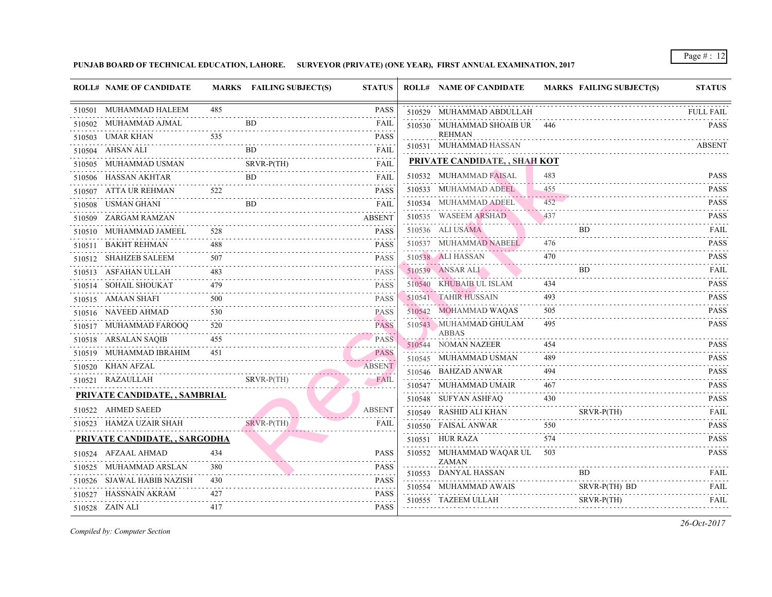| <b>ROLL# NAME OF CANDIDATE</b> |                        | <b>MARKS FAILING SUBJECT(S)</b> | <b>STATUS</b>                | <b>ROLL# NAME OF CANDIDATE</b>                 | <b>MARKS FAIL</b> |             |
|--------------------------------|------------------------|---------------------------------|------------------------------|------------------------------------------------|-------------------|-------------|
| 510501 MUHAMMAD HALEEM         | 485                    |                                 | PASS                         | 510529 MUHAMMAD ABDULLAH                       |                   |             |
| 510502 MUHAMMAD AJMAL          |                        | <b>BD</b>                       | FAIL                         | 510530 MUHAMMAD SHOAIB UR                      | 446               |             |
| 510503 UMAR KHAN               | 535                    |                                 | <b>PASS</b>                  | <b>REHMAN</b>                                  |                   |             |
| 510504 AHSAN ALI               |                        | <b>BD</b>                       | FAIL                         | 510531 MUHAMMAD HASSAN                         |                   |             |
| 510505 MUHAMMAD USMAN          |                        | <b>SRVR-P(TH)</b>               | FAIL                         | PRIVATE CANDIDATE, , SHAH KOT                  |                   |             |
| 510506 HASSAN AKHTAR           |                        | BD.                             | <b>FAIL</b>                  | 510532 MUHAMMAD FAISAL                         | 483               |             |
| 510507 ATTA UR REHMAN          | 522                    |                                 | <b>PASS</b>                  | 510533 MUHAMMAD ADEEL                          | 455               |             |
| 510508 USMAN GHANI             |                        | <b>BD</b>                       | <b>FAIL</b>                  | 510534 MUHAMMAD ADEEL                          | 452               |             |
| 510509 ZARGAM RAMZAN           |                        |                                 | $- - - - -$<br><b>ABSENT</b> | 510535 WASEEM ARSHAD                           | 437               |             |
| 510510 MUHAMMAD JAMEEL         | 528                    |                                 | <b>PASS</b>                  | 510536 ALI USAMA                               |                   | BD.         |
| 510511 BAKHT REHMAN            | 488                    |                                 | <b>PASS</b>                  | 510537 MUHAMMAD NABEEL                         | 476               |             |
| 510512 SHAHZEB SALEEM          | $- - - - - - -$<br>507 |                                 | <b>PASS</b>                  | 510538 ALI HASSAN                              | 470               |             |
| 510513 ASFAHAN ULLAH           | 483                    |                                 | <b>PASS</b>                  | 510539 ANSAR ALI                               |                   | BD.         |
| 510514 SOHAIL SHOUKAT          | 479                    |                                 | <b>PASS</b>                  | 510540 KHUBAIB UL ISLAM                        | 434               |             |
| 510515 AMAAN SHAFI             | 500                    |                                 | <b>PASS</b>                  | 510541 TAHIR HUSSAIN                           | 493               |             |
| 510516 NAVEED AHMAD            | 530                    |                                 | <b>PASS</b>                  | 510542 MOHAMMAD WAQAS                          | 505               |             |
| 510517 MUHAMMAD FAROOQ         | 520                    |                                 | .<br><b>PASS</b>             | 510543 MUHAMMAD GHULAM                         | 495               |             |
| 510518 ARSALAN SAQIB           | 455                    |                                 | <b>PASS</b>                  | ABBAS                                          | 454               |             |
| 510519 MUHAMMAD IBRAHIM        | 451                    |                                 | <b>PASS</b>                  | 510544 NOMAN NAZEER<br>510545 MUHAMMAD USMAN   | 489               |             |
| 510520 KHAN AFZAL              |                        |                                 | والأشكرون<br><b>ABSENT</b>   |                                                | 494               |             |
| 510521 RAZAULLAH               |                        | $SRVR-P(TH)$                    | FAIL                         | 510546 BAHZAD ANWAR                            |                   |             |
| PRIVATE CANDIDATE, , SAMBRIAL  |                        |                                 |                              | 510547 MUHAMMAD UMAIR                          | 467<br>430        |             |
| 510522 AHMED SAEED             |                        |                                 | <b>ABSENT</b>                | 510548 SUFYAN ASHFAQ<br>510549 RASHID ALI KHAN |                   |             |
| 510523 HAMZA UZAIR SHAH        |                        | $SRVR-P(TH)$                    | FAIL                         |                                                |                   | <b>SRVF</b> |
|                                |                        |                                 |                              | 510550 FAISAL ANWAR                            | 550<br>574        |             |
| PRIVATE CANDIDATE, , SARGODHA  |                        |                                 |                              | 510551 HUR RAZA                                |                   |             |
| 510524 AFZAAL AHMAD            | 434                    |                                 | PASS                         | 510552 MUHAMMAD WAQAR UL<br>ZAMAN              | 503               |             |
| 510525 MUHAMMAD ARSLAN         | 380                    |                                 | PASS                         | 510553 DANYAL HASSAN                           |                   | BD.         |
| 510526 SJAWAL HABIB NAZISH     | 430                    |                                 | <b>PASS</b>                  | 510554 MUHAMMAD AWAIS                          |                   | <b>SRVF</b> |
| 510527 HASSNAIN AKRAM          | 427                    |                                 | PASS<br>.                    | 510555 TAZEEM ULLAH                            |                   | <b>SRVF</b> |
| 510528 ZAIN ALI                | 417                    |                                 | PASS                         |                                                |                   |             |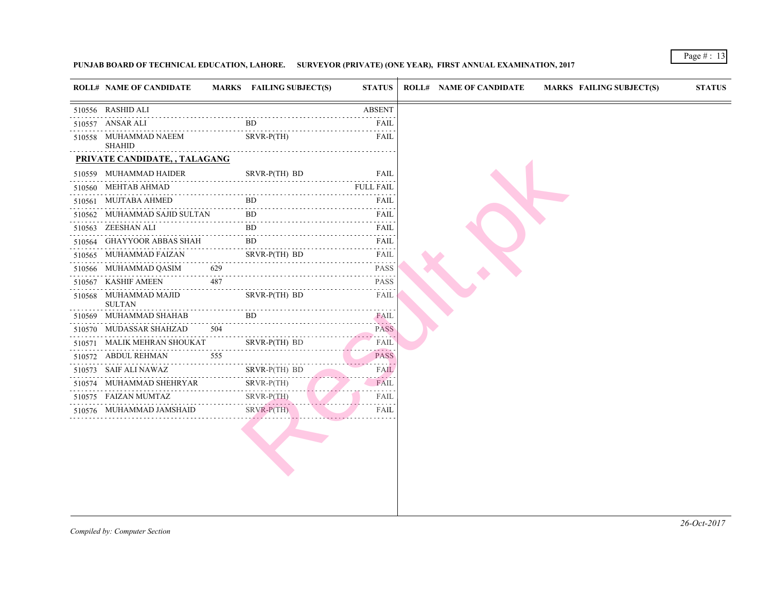| <b>ROLL# NAME OF CANDIDATE</b>         |          | MARKS FAILING SUBJECT(S)         | <b>STATUS</b>                                                                                                                                                                                |
|----------------------------------------|----------|----------------------------------|----------------------------------------------------------------------------------------------------------------------------------------------------------------------------------------------|
| 510556 RASHID ALI                      |          |                                  | <b>ABSENT</b>                                                                                                                                                                                |
| 510557 ANSAR ALI                       |          | <b>BD</b>                        | FAIL                                                                                                                                                                                         |
| 510558 MUHAMMAD NAEEM<br><b>SHAHID</b> |          | $SRVR-P(TH)$                     | FAIL                                                                                                                                                                                         |
| PRIVATE CANDIDATE, , TALAGANG          |          |                                  |                                                                                                                                                                                              |
| 510559 MUHAMMAD HAIDER                 |          | SRVR-P(TH) BD                    | FAIL                                                                                                                                                                                         |
| 510560 MEHTAB AHMAD                    |          |                                  | <b>FULL FAIL</b>                                                                                                                                                                             |
| 510561 MUJTABA AHMED                   |          | BD.                              | FAIL                                                                                                                                                                                         |
| 510562 MUHAMMAD SAJID SULTAN BD FAIL   |          |                                  |                                                                                                                                                                                              |
| 510563 ZEESHAN ALI                     |          | BD.                              | FAIL<br>2.2.2.2.2.2                                                                                                                                                                          |
| 510564 GHAYYOOR ABBAS SHAH BD          |          |                                  | FAIL                                                                                                                                                                                         |
| 510565 MUHAMMAD FAIZAN                 |          | SRVR-P(TH) BD                    | .<br>FAIL<br>$\frac{1}{2} \left( \frac{1}{2} \right) \left( \frac{1}{2} \right) \left( \frac{1}{2} \right) \left( \frac{1}{2} \right) \left( \frac{1}{2} \right) \left( \frac{1}{2} \right)$ |
| 510566 MUHAMMAD QASIM                  | 629      |                                  | <b>PASS</b>                                                                                                                                                                                  |
| 510567 KASHIF AMEEN                    | 487      |                                  | <b>PASS</b>                                                                                                                                                                                  |
| 510568 MUHAMMAD MAJID<br><b>SULTAN</b> |          | SRVR-P(TH) BD                    | FAIL                                                                                                                                                                                         |
| 510569 MUHAMMAD SHAHAB                 |          | BD.                              | FAIL                                                                                                                                                                                         |
| 510570 MUDASSAR SHAHZAD                | 504      |                                  | <b>PASS</b>                                                                                                                                                                                  |
| 510571 MALIK MEHRAN SHOUKAT            |          | SRVR-P(TH) BD<br>$SKVR-P(1H) BD$ | FAIL<br>$- - - - -$                                                                                                                                                                          |
| 510572 ABDUL REHMAN                    | 555<br>. |                                  | <b>PASS</b><br>التاليات للمالية                                                                                                                                                              |
| 510573 SAIF ALI NAWAZ                  |          | SRVR-P(TH) BD                    | FAIL<br>وأعراب أسابطها                                                                                                                                                                       |
| 510574 MUHAMMAD SHEHRYAR               |          | $SRVR-P(TH)$<br>.                | FAIL                                                                                                                                                                                         |
| 510575 FAIZAN MUMTAZ                   |          | $SRVR-P(TH)$                     | FAIL                                                                                                                                                                                         |
| 510576 MUHAMMAD JAMSHAID               |          | $SRVR-P(TH)$                     | FAIL                                                                                                                                                                                         |
|                                        |          |                                  |                                                                                                                                                                                              |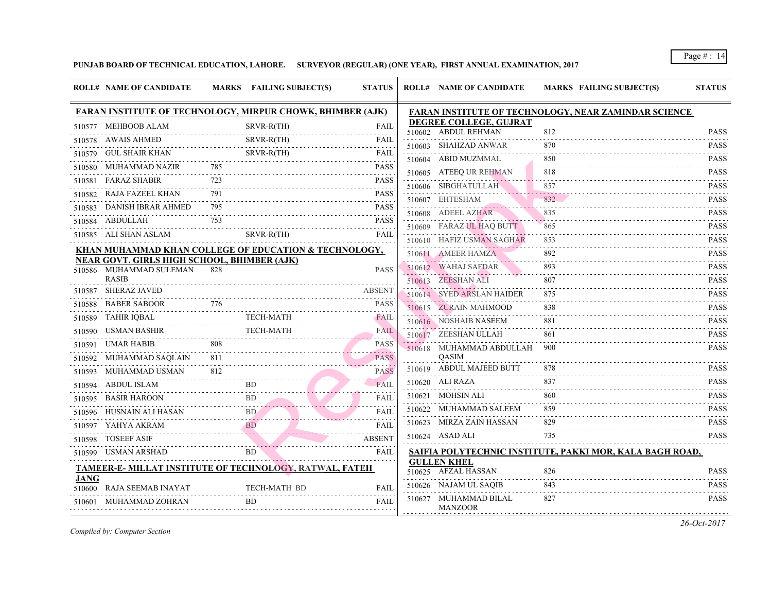|             | <b>ROLL# NAME OF CANDIDATE</b>                                         |     | MARKS FAILING SUBJECT(S)                                                                                                                                                                                                                    | <b>STATUS</b>                      | <b>ROLL# NAME OF CANDIDATE</b>                | <b>MARKS FAIL</b> |
|-------------|------------------------------------------------------------------------|-----|---------------------------------------------------------------------------------------------------------------------------------------------------------------------------------------------------------------------------------------------|------------------------------------|-----------------------------------------------|-------------------|
|             | <b>FARAN INSTITUTE OF TECHNOLOGY, MIRPUR CHOWK, BHIMBER (AJK)</b>      |     |                                                                                                                                                                                                                                             |                                    | <b>FARAN INSTITUTE OF TECHNOLOGY, NEAR</b>    |                   |
|             | 510577 MEHBOOB ALAM                                                    |     | SRVR-R(TH)                                                                                                                                                                                                                                  | <b>FAIL</b>                        | DEGREE COLLEGE, GUJRAT<br>510602 ABDUL REHMAN | 812               |
|             | 510578 AWAIS AHMED                                                     |     | SRVR-R(TH)                                                                                                                                                                                                                                  | FAIL<br>a a a a a a a ai           | 510603 SHAHZAD ANWAR                          | 870               |
|             | 510579 GUL SHAIR KHAN                                                  |     | SRVR-R(TH)<br>SRVR-R(TH)<br>----------------------------------                                                                                                                                                                              | FAIL<br>.                          | 510604 ABID MUZMMAL                           | 850               |
|             | 510580 MUHAMMAD NAZIR                                                  | 785 |                                                                                                                                                                                                                                             | <b>PASS</b>                        | 510605 ATEEQ UR REHMAN                        | 818               |
|             | 510581 FARAZ SHABIR                                                    |     |                                                                                                                                                                                                                                             | <b>PASS</b>                        | 510606 SIBGHATULLAH                           | 857               |
|             | 510582 RAJA FAZEEL KHAN                                                |     |                                                                                                                                                                                                                                             | <b>PASS</b>                        | 510607 EHTESHAM                               |                   |
|             | 510583 DANISH IBRAR AHMED                                              | 795 |                                                                                                                                                                                                                                             | <b>PASS</b>                        | 510608 ADEEL AZHAR                            | 835               |
|             | 510584 ABDULLAH                                                        | 753 |                                                                                                                                                                                                                                             | <b>PASS</b>                        | 510609 FARAZ UL HAQ BUTT                      | 865               |
|             | 510585 ALI SHAN ASLAM                                                  |     | $SRVR-R(TH)$                                                                                                                                                                                                                                | <b>FAIL</b>                        | 510610 HAFIZ USMAN SAGHAR                     |                   |
|             | KHAN MUHAMMAD KHAN COLLEGE OF EDUCATION & TECHNOLOGY,                  |     |                                                                                                                                                                                                                                             |                                    | 510611 AMEER HAMZA                            |                   |
|             | NEAR GOVT. GIRLS HIGH SCHOOL, BHIMBER (AJK)<br>510586 MUHAMMAD SULEMAN | 828 |                                                                                                                                                                                                                                             | <b>PASS</b>                        | 510612 WAHAJ SAFDAR                           |                   |
|             | <b>RASIB</b>                                                           |     |                                                                                                                                                                                                                                             |                                    | 510613 ZEESHAN ALI                            |                   |
|             | 510587 SHERAZ JAVED                                                    |     |                                                                                                                                                                                                                                             | <b>ABSENT</b>                      | 510614 SYED ARSLAN HAIDER                     | 875               |
|             | 510588 BABER SABOOR                                                    | 776 |                                                                                                                                                                                                                                             | <b>PASS</b>                        | 510615 ZURAIN MAHMOOD                         | 838               |
|             | 510589 TAHIR IQBAL                                                     |     |                                                                                                                                                                                                                                             | L<br>TECH-MATH FAIL<br><b>FAIL</b> | 510616 NOSHAIB NASEEM                         |                   |
|             | 510590 USMAN BASHIR TECH-MATH FAIL                                     |     |                                                                                                                                                                                                                                             |                                    | 510617 ZEESHAN ULLAH                          | 861               |
|             | 510591 UMAR HABIB                                                      |     |                                                                                                                                                                                                                                             | <b>PASS</b>                        | 510618 MUHAMMAD ABDULLAH                      | 900               |
|             | 510592 MUHAMMAD SAQLAIN                                                | 811 |                                                                                                                                                                                                                                             | <b>PASS</b>                        | <b>OASIM</b>                                  |                   |
|             | 510593 MUHAMMAD USMAN                                                  |     | USMAN $812$                                                                                                                                                                                                                                 | <b>PASS</b><br>$- - - - - -$       | 510619 ABDUL MAJEED BUTT                      |                   |
|             | 510594 ABDUL ISLAM BD                                                  |     | BD <sub>3</sub>                                                                                                                                                                                                                             | <b>FAIL</b>                        | 510620 ALI RAZA                               | 837               |
|             | 510595 BASIR HAROON                                                    |     | BD and the same state of the state of the state of the state of the state of the state of the state of the state of the state of the state of the state of the state of the state of the state of the state of the state of th<br>$\n  B D$ | <b>FAIL</b><br>.                   | 510621 MOHSIN ALI                             | 860               |
|             | 510596 HUSNAIN ALI HASAN BD FAIL                                       |     |                                                                                                                                                                                                                                             |                                    | 510622 MUHAMMAD SALEEM                        | 859               |
|             | 510597 YAHYA AKRAM                                                     |     | BD                                                                                                                                                                                                                                          | FAIL                               | 510623 MIRZA ZAIN HASSAN                      |                   |
|             | 510598 TOSEEF ASIF                                                     |     |                                                                                                                                                                                                                                             | <b>ABSENT</b>                      | 510624 ASAD ALI                               | 735               |
|             | 510599 USMAN ARSHAD                                                    |     | BD <b>Second Second Second Second Second Second Second Second Second Second Second Second Second Second Second Second Second Second Second Second Second Second Second Second Second Second Second Second Second Second Second S</b>        | FAIL                               | SAIFIA POLYTECHNIC INSTITUTE, PAKKI M         |                   |
|             | TAMEER-E- MILLAT INSTITUTE OF TECHNOLOGY, RATWAL, FATEH                |     |                                                                                                                                                                                                                                             |                                    | <b>GULLEN KHEL</b><br>510625 AFZAL HASSAN     | 826               |
| <b>JANG</b> | 510600 RAJA SEEMAB INAYAT                                              |     | TECH-MATH BD                                                                                                                                                                                                                                | <b>FAIL</b>                        | 510626 NAJAM UL SAQIB                         | 843               |
|             | 510601 MUHAMMAD ZOHRAN                                                 |     | <b>BD</b>                                                                                                                                                                                                                                   | FAIL                               | 510627 MUHAMMAD BILAL<br><b>MANZOOR</b>       | 827               |
|             |                                                                        |     |                                                                                                                                                                                                                                             |                                    |                                               |                   |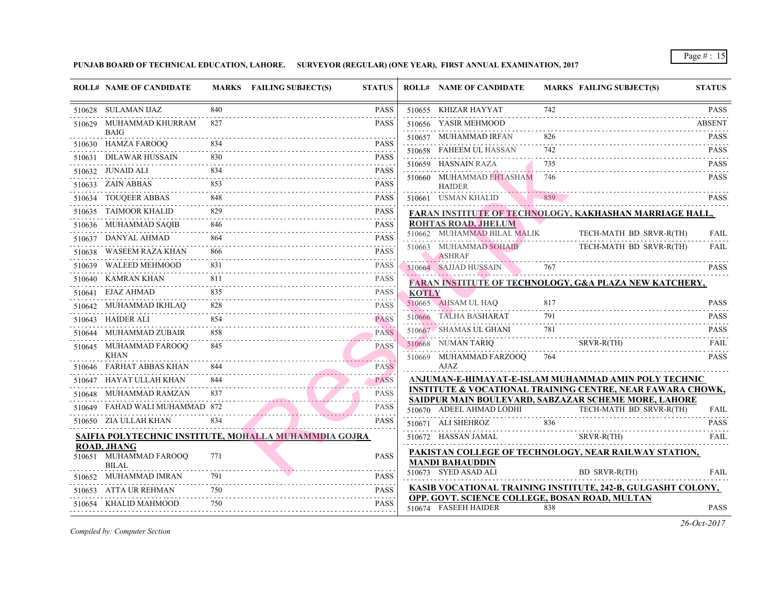|        | <b>ROLL# NAME OF CANDIDATE</b>               |            | MARKS FAILING SUBJECT(S)                              | <b>STATUS</b>              |              | <b>ROLL# NAME OF CANDIDATE</b>                                           | <b>MARKS FAIL</b> |             |
|--------|----------------------------------------------|------------|-------------------------------------------------------|----------------------------|--------------|--------------------------------------------------------------------------|-------------------|-------------|
|        | 510628 SULAMAN IJAZ                          | 840        |                                                       | <b>PASS</b>                |              | 510655 KHIZAR HAYYAT                                                     | 742               |             |
|        | 510629 MUHAMMAD KHURRAM                      | 827        |                                                       | <b>PASS</b>                |              | 510656 YASIR MEHMOOD                                                     |                   |             |
|        | BAIG<br>510630 HAMZA FAROOQ                  |            |                                                       | <b>PASS</b>                |              | 510657 MUHAMMAD IRFAN                                                    | 826               |             |
|        | 510631 DILAWAR HUSSAIN                       |            |                                                       | <b>PASS</b>                |              | 510658 FAHEEM UL HASSAN                                                  | 742               |             |
|        | 510632 JUNAID ALI                            |            |                                                       | <b>PASS</b>                |              | 510659 HASNAIN RAZA                                                      | 735               |             |
|        | 510633 ZAIN ABBAS                            | 853        |                                                       | .<br><b>PASS</b>           |              | 510660 MUHAMMAD EHTASHAM 746                                             |                   |             |
| 510634 | TOUQEER ABBAS                                | .<br>848   |                                                       | <b>PASS</b>                |              | <b>HAIDER</b><br>510661 USMAN KHALID                                     | 859               |             |
|        | TAIMOOR KHALID                               | 829        |                                                       | <b>PASS</b>                |              |                                                                          |                   |             |
| 510635 | .                                            |            |                                                       |                            |              | <b>FARAN INSTITUTE OF TECHNOLOGY, KAKI</b><br><b>ROHTAS ROAD, JHELUM</b> |                   |             |
|        | 510636 MUHAMMAD SAQIB<br>510637 DANYAL AHMAD | 846        |                                                       | <b>PASS</b>                |              | 510662 MUHAMMAD BILAL MALIK                                              |                   | <b>TECH</b> |
|        | 510638 WASEEM RAZA KHAN                      | 864<br>866 |                                                       | <b>PASS</b><br><b>PASS</b> |              | 510663 MUHAMMAD SOHAIB                                                   |                   | <b>TECH</b> |
|        |                                              |            |                                                       |                            |              | <b>ASHRAF</b>                                                            |                   |             |
| 510639 | WALEED MEHMOOD                               | 831        |                                                       | <b>PASS</b>                |              | 510664 SAJJAD HUSSAIN                                                    | 767               |             |
|        | 510640 KAMRAN KHAN                           | 811        |                                                       | <b>PASS</b><br>.           |              | <b>FARAN INSTITUTE OF TECHNOLOGY, G&amp;A</b>                            |                   |             |
|        | 510641 EJAZ AHMAD                            | 835        |                                                       | <b>PASS</b>                | <b>KOTLY</b> | 510665 AHSAM UL HAQ                                                      | 817               |             |
|        | 510642 MUHAMMAD IKHLAQ                       | 828        |                                                       | <b>PASS</b>                |              | 510666 TALHA BASHARAT                                                    | 791               |             |
|        | 510643 HAIDER ALI                            | 854        |                                                       | <b>PASS</b>                |              | 510667 SHAMAS UL GHANI                                                   |                   |             |
|        | 510644 MUHAMMAD ZUBAIR                       | 858        |                                                       | <b>PASS</b>                |              | 510668 NUMAN TARIQ                                                       |                   | <b>SRVF</b> |
|        | 510645 MUHAMMAD FAROOQ<br><b>KHAN</b>        | 845        |                                                       | <b>PASS</b>                |              | 510669 MUHAMMAD FARZOOQ                                                  | 764               |             |
|        | 510646 FARHAT ABBAS KHAN                     |            |                                                       | <b>PASS</b>                |              | AJAZ                                                                     |                   |             |
|        | 510647 HAYAT ULLAH KHAN                      | 844        |                                                       | <b>PASS</b>                |              | ANJUMAN-E-HIMAYAT-E-ISLAM MUHAMM.                                        |                   |             |
|        | 510648 MUHAMMAD RAMZAN                       | 837        |                                                       | <b>PASS</b>                |              | <b>INSTITUTE &amp; VOCATIONAL TRAINING CEN</b>                           |                   |             |
|        | 510649 FAHAD WALI MUHAMMAD 872               |            |                                                       | .<br><b>PASS</b>           |              | SAIDPUR MAIN BOULEVARD, SABZAZAR SC<br>510670 ADEEL AHMAD LODHI          |                   | TECH        |
|        | 510650 ZIA ULLAH KHAN                        | 834        |                                                       | <b>PASS</b>                |              | 510671 ALI SHEHROZ                                                       |                   |             |
|        |                                              |            |                                                       |                            |              |                                                                          |                   |             |
|        | <b>ROAD, JHANG</b>                           |            | SAIFIA POLYTECHNIC INSTITUTE, MOHALLA MUHAMMDIA GOJRA |                            |              | 510672 HASSAN JAMAL                                                      |                   | <b>SRVF</b> |
|        | 510651 MUHAMMAD FAROOQ                       | 771        |                                                       | <b>PASS</b>                |              | PAKISTAN COLLEGE OF TECHNOLOGY, NE<br><b>MANDI BAHAUDDIN</b>             |                   |             |
|        | <b>BILAL</b>                                 |            |                                                       |                            |              | 510673 SYED ASAD ALI                                                     |                   | BD S        |
|        | 510652 MUHAMMAD IMRAN                        | 791        |                                                       | <b>PASS</b>                |              | <b>KASIB VOCATIONAL TRAINING INSTITUTE</b>                               |                   |             |
|        | 510653 ATTA UR REHMAN                        | 750        |                                                       | <b>PASS</b>                |              | OPP. GOVT. SCIENCE COLLEGE, BOSAN RO.                                    |                   |             |
|        | 510654 KHALID MAHMOOD                        | 750        |                                                       | <b>PASS</b>                |              | 510674 FASEEH HAIDER                                                     | 838               |             |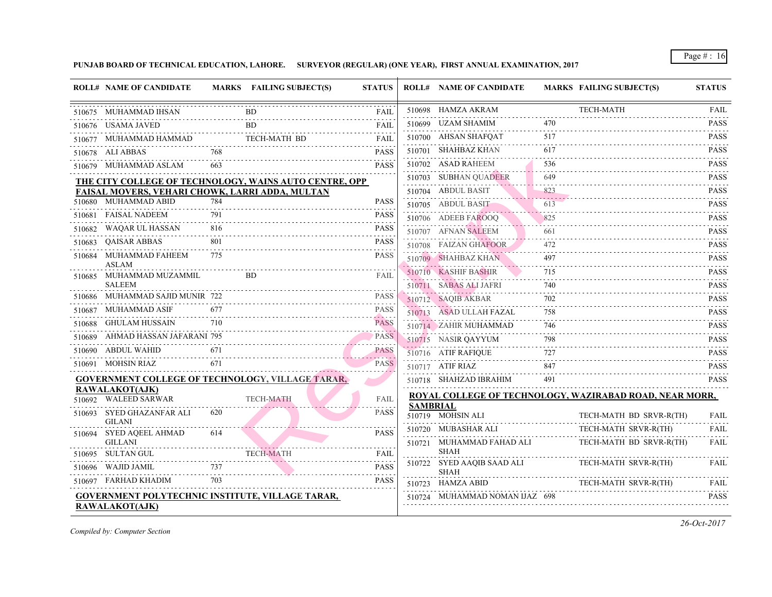|        | <b>ROLL# NAME OF CANDIDATE</b>                          |          | MARKS FAILING SUBJECT(S)                                | <b>STATUS</b>           |                 | <b>ROLL# NAME OF CANDIDATE</b>           | <b>MARKS FAIL</b> |             |
|--------|---------------------------------------------------------|----------|---------------------------------------------------------|-------------------------|-----------------|------------------------------------------|-------------------|-------------|
|        | 510675 MUHAMMAD IHSAN                                   |          | <b>BD</b>                                               | FAIL                    |                 | 510698 HAMZA AKRAM                       |                   | <b>TECH</b> |
|        | 510676 USAMA JAVED                                      |          | <b>BD</b>                                               | <b>FAIL</b>             |                 | 510699 UZAM SHAMIM                       | 470               |             |
|        | 510677 MUHAMMAD HAMMAD                                  |          | <b>TECH-MATH BD</b>                                     | FAIL                    |                 | 510700 AHSAN SHAFQAT                     | 517               |             |
|        | 510678 ALI ABBAS                                        | 768      |                                                         | <b>PASS</b>             |                 | 510701 SHAHBAZ KHAN                      | 617               |             |
|        | 510679 MUHAMMAD ASLAM                                   |          |                                                         | <b>PASS</b>             |                 | 510702 ASAD RAHEEM                       | 536               |             |
|        |                                                         |          | THE CITY COLLEGE OF TECHNOLOGY, WAINS AUTO CENTRE, OPP  |                         |                 | 510703 SUBHAN QUADEER                    | 649               |             |
|        | <b>FAISAL MOVERS, VEHARI CHOWK, LARRI ADDA, MULTAN</b>  |          |                                                         |                         |                 | 510704 ABDUL BASIT                       | 823               |             |
|        | 510680 MUHAMMAD ABID                                    | 784      |                                                         | <b>PASS</b>             |                 | 510705 ABDUL BASIT                       | 613               |             |
|        | 510681 FAISAL NADEEM                                    | 791      |                                                         | <b>PASS</b>             |                 | 510706 ADEEB FAROOQ                      | 825               |             |
| 510682 | WAQAR UL HASSAN                                         | 816      |                                                         | <b>PASS</b>             |                 | 510707 AFNAN SALEEM                      | 661               |             |
| 510683 | <b>OAISAR ABBAS</b>                                     | 801      |                                                         | <b>PASS</b>             |                 | 510708 FAIZAN GHAFOOR                    | 472               |             |
| 510684 | MUHAMMAD FAHEEM<br>ASLAM                                | 775      |                                                         | <b>PASS</b>             |                 | 510709 SHAHBAZ KHAN                      | 497               |             |
| 510685 | MUHAMMAD MUZAMMIL                                       |          | BD.                                                     | FAIL                    |                 | 510710 KASHIF BASHIR                     | 715               |             |
|        | <b>SALEEM</b><br>510686 MUHAMMAD SAJID MUNIR 722        |          |                                                         | <b>PASS</b>             |                 | 510711 SABAS ALI JAFRI                   | 740               |             |
|        |                                                         | 677      |                                                         | <b>PASS</b>             |                 | 510712 SAQIB AKBAR                       | 702               |             |
|        | 510687 MUHAMMAD ASIF<br>510688 GHULAM HUSSAIN           | 710      |                                                         | <u>.</u><br><b>PASS</b> |                 | 510713 ASAD ULLAH FAZAL                  | 758               |             |
|        |                                                         |          |                                                         | a a de a                |                 | 510714 ZAHIR MUHAMMAD                    | 746               |             |
|        | 510689 AHMAD HASSAN JAFARANI 795                        |          |                                                         | <b>PASS</b>             |                 | 510715 NASIR QAYYUM                      | 798               |             |
|        | 510690 ABDUL WAHID                                      |          |                                                         | <b>PASS</b><br>.        |                 | 510716 ATIF RAFIQUE                      | 727               |             |
|        | 510691 MOHSIN RIAZ                                      | 671      |                                                         | <b>PASS</b>             |                 | 510717 ATIF RIAZ                         | 847               |             |
|        |                                                         |          | <b>GOVERNMENT COLLEGE OF TECHNOLOGY, VILLAGE TARAR,</b> |                         |                 | 510718 SHAHZAD IBRAHIM                   | 491               |             |
|        | <b>RAWALAKOT(AJK)</b><br>510692 WALEED SARWAR           |          | <b>TECH-MATH</b>                                        | <b>FAIL</b>             |                 | <b>ROYAL COLLEGE OF TECHNOLOGY, WAZI</b> |                   |             |
| 510693 | SYED GHAZANFAR ALI<br><b>GILANI</b>                     | 620      |                                                         | <b>PASS</b>             | <b>SAMBRIAL</b> | 510719 MOHSIN ALI                        |                   | <b>TECH</b> |
| 510694 | SYED AQEEL AHMAD                                        | 614      |                                                         | <b>PASS</b>             |                 | 510720 MUBASHAR ALI                      |                   | <b>TECH</b> |
|        | <b>GILLANI</b><br>510695 SULTAN GUL                     |          | <b>TECH-MATH</b>                                        | <b>FAIL</b>             |                 | 510721 MUHAMMAD FAHAD ALI<br><b>SHAH</b> |                   | TECH        |
|        | 510696 WAJID JAMIL                                      | 737      |                                                         | <b>PASS</b>             |                 | 510722 SYED AAQIB SAAD ALI               |                   | <b>TECH</b> |
|        | 510697 FARHAD KHADIM                                    | .<br>703 |                                                         | <b>PASS</b>             |                 | <b>SHAH</b><br>510723 HAMZA ABID         |                   | TECH        |
|        | <b>GOVERNMENT POLYTECHNIC INSTITUTE, VILLAGE TARAR,</b> |          |                                                         |                         |                 | 510724 MUHAMMAD NOMAN IJAZ 698           |                   |             |
|        | <b>RAWALAKOT(AJK)</b>                                   |          |                                                         |                         |                 |                                          |                   |             |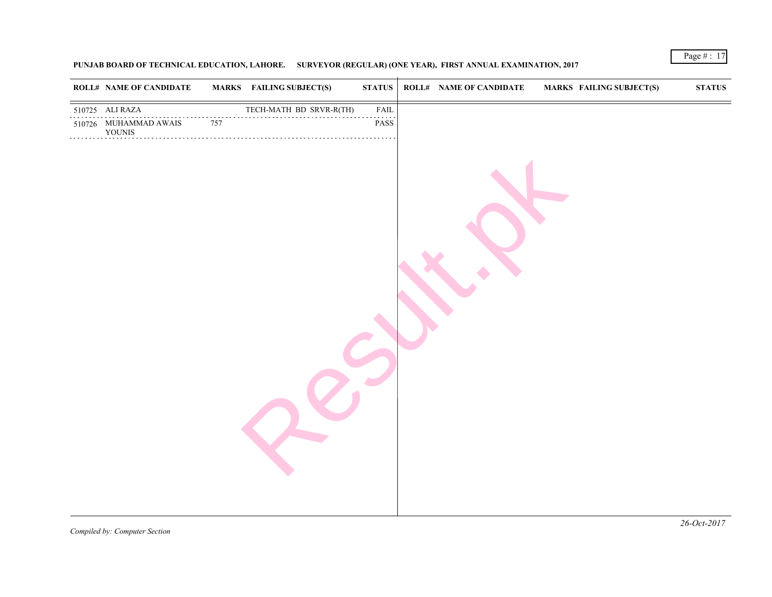| <b>ROLL# NAME OF CANDIDATE</b>  |     | <b>MARKS</b> FAILING SUBJECT(S) | $\bold{STATUS}$ | <b>ROLL# NAME OF CANDIDATE</b> | <b>MARKS FAIL</b> |
|---------------------------------|-----|---------------------------------|-----------------|--------------------------------|-------------------|
| 510725 ALI RAZA                 |     | TECH-MATH BD SRVR-R(TH) FAIL    | ${\rm FAIL}$    |                                |                   |
| 510726 MUHAMMAD AWAIS<br>YOUNIS | 757 |                                 | PASS            |                                |                   |
|                                 |     |                                 |                 |                                |                   |
|                                 |     |                                 |                 |                                |                   |
|                                 |     |                                 |                 |                                |                   |
|                                 |     |                                 |                 |                                |                   |
|                                 |     |                                 |                 |                                |                   |
|                                 |     |                                 |                 |                                |                   |
|                                 |     |                                 |                 |                                |                   |
|                                 |     |                                 |                 |                                |                   |
|                                 |     |                                 |                 |                                |                   |
|                                 |     |                                 |                 |                                |                   |
|                                 |     |                                 |                 |                                |                   |
|                                 |     |                                 |                 |                                |                   |
|                                 |     |                                 |                 |                                |                   |
|                                 |     |                                 |                 |                                |                   |
|                                 |     |                                 |                 |                                |                   |
|                                 |     |                                 |                 |                                |                   |
|                                 |     |                                 |                 |                                |                   |
|                                 |     |                                 |                 |                                |                   |
|                                 |     |                                 |                 |                                |                   |
|                                 |     |                                 |                 |                                |                   |
|                                 |     |                                 |                 |                                |                   |